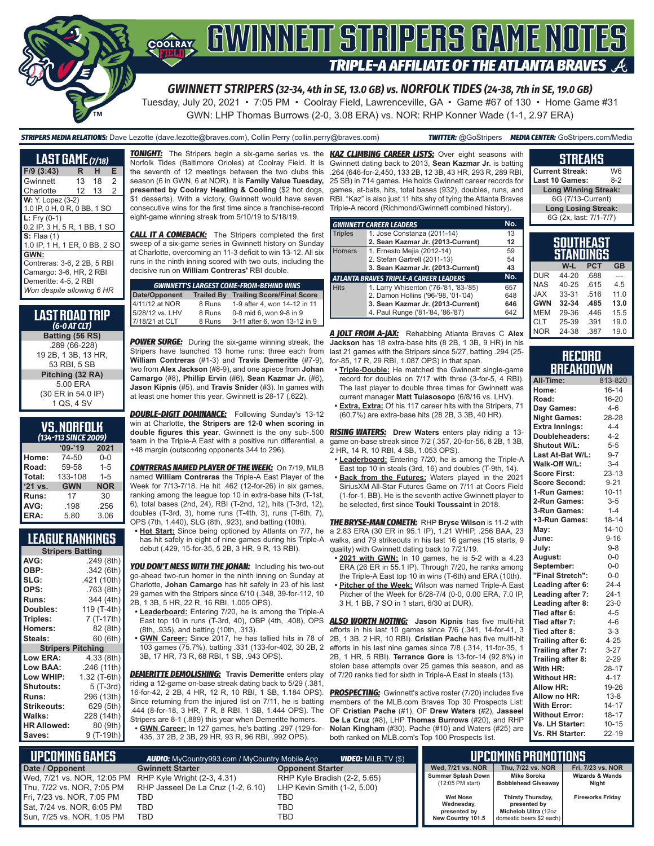

*GWINNETT STRIPERS (32-34, 4th in SE, 13.0 GB) vs. NORFOLK TIDES (24-38, 7th in SE, 19.0 GB)*

Tuesday, July 20, 2021 • 7:05 PM • Coolray Field, Lawrenceville, GA • Game #67 of 130 • Home Game #31 GWN: LHP Thomas Burrows (2-0, 3.08 ERA) vs. NOR: RHP Konner Wade (1-1, 2.97 ERA)

*STRIPERS MEDIA RELATIONS:* Dave Lezotte (dave.lezotte@braves.com), Collin Perry (collin.perry@braves.com) *TWITTER:* @GoStripers *MEDIA CENTER:* GoStripers.com/Media

| <b>LAST GAME (7/18)</b>                                                                                                                                                                                                                                                                |    |    |                |
|----------------------------------------------------------------------------------------------------------------------------------------------------------------------------------------------------------------------------------------------------------------------------------------|----|----|----------------|
| $F/9$ (3:43)                                                                                                                                                                                                                                                                           | R  | н  | Е              |
| Gwinnett                                                                                                                                                                                                                                                                               | 13 | 18 | $\overline{2}$ |
| Charlotte                                                                                                                                                                                                                                                                              | 12 | 13 | $\overline{2}$ |
| <b>W:</b> Y. Lopez (3-2)<br>1.0 IP, 0 H, 0 R, 0 BB, 1 SO<br>$L: Fry (0-1)$<br>0.2 IP, 3 H, 5 R, 1 BB, 1 SO<br>$S:$ Flaa $(1)$<br>1.0 IP, 1 H, 1 ER, 0 BB, 2 SC<br>GWN:<br>Contreras: 3-6, 2 2B, 5 RBI<br>Camargo: 3-6, HR, 2 RBI<br>Demeritte: 4-5, 2 RBI<br>Won despite allowing 6 HR |    |    |                |

#### **LAST ROAD TRIP**  *(6-0 AT CLT)* **Batting (56 RS)** .289 (66-228) 19 2B, 1 3B, 13 HR, 53 RBI, 5 SB **Pitching (32 RA)** 5.00 ERA (30 ER in 54.0 IP)

| VS.NORFOLK                 |  |  |
|----------------------------|--|--|
| $(42)$ $(42)$ $CIRCT 2000$ |  |  |

| (134-113 SINCE 2009) |            |            |  |  |
|----------------------|------------|------------|--|--|
|                      | $09 - 19$  | 2021       |  |  |
| Home:                | 74-50      | 0-0        |  |  |
| Road:                | 59-58      | $1 - 5$    |  |  |
| Total:               | 133-108    | $1 - 5$    |  |  |
| '21 vs.              | <b>GWN</b> | <b>NOR</b> |  |  |
| Runs:                | 17         | 30         |  |  |
| AVG:                 | .198       | .256       |  |  |
| ERA:                 | 5.80       | 3.06       |  |  |

### **LEAGUE RANKINGS**

| <b>Stripers Batting</b>  |              |  |  |  |
|--------------------------|--------------|--|--|--|
| AVG:                     | .249 (8th)   |  |  |  |
| OBP:                     | .342(6th)    |  |  |  |
| SLG:                     | .421 (10th)  |  |  |  |
| OPS:                     | .763 (8th)   |  |  |  |
| <b>Runs:</b>             | 344 (4th)    |  |  |  |
| Doubles:                 | 119 (T-4th)  |  |  |  |
| Triples:                 | 7 (T-17th)   |  |  |  |
| <b>Homers:</b>           | 82 (8th)     |  |  |  |
| Steals:                  | 60 (6th)     |  |  |  |
| <b>Stripers Pitching</b> |              |  |  |  |
| <b>Low ERA:</b>          | 4.33 (8th)   |  |  |  |
| Low BAA:                 | .246(11th)   |  |  |  |
| Low WHIP:                | 1.32 (T-6th) |  |  |  |
| <b>Shutouts:</b>         | 5 (T-3rd)    |  |  |  |
| Runs:                    | 296 (13th)   |  |  |  |
| <b>Strikeouts:</b>       | 629 (5th)    |  |  |  |
| Walks:                   | 228 (14th)   |  |  |  |
| <b>HR Allowed:</b>       | 80 (9th)     |  |  |  |
| Saves:                   | 9 (T-19th)   |  |  |  |

Norfolk Tides (Baltimore Orioles) at Coolray Field. It is the seventh of 12 meetings between the two clubs this **Current Streak:** W6 .264 (646-for-2,450, 133 2B, 12 3B, 43 HR, 293 R, 289 RBI, season (6 in GWN, 6 at NOR). It is **Family Value Tuesday, presented by Coolray Heating & Cooling** (\$2 hot dogs, \$1 desserts). With a victory, Gwinnett would have seven consecutive wins for the first time since a franchise-record eight-game winning streak from 5/10/19 to 5/18/19.

**CALL IT A COMEBACK:** The Stripers completed the first sweep of a six-game series in Gwinnett history on Sunday at Charlotte, overcoming an 11-3 deficit to win 13-12. All six runs in the ninth inning scored with two outs, including the decisive run on **William Contreras'** RBI double.

| <b>GWINNETT'S LARGEST COME-FROM-BEHIND WINS</b> |                   |                                   |  |  |
|-------------------------------------------------|-------------------|-----------------------------------|--|--|
|                                                 | <b>Trailed By</b> | <b>Trailing Score/Final Score</b> |  |  |
| Date/Opponent<br>4/11/12 at NOR                 | 8 Runs            | 1-9 after 4, won 14-12 in 11      |  |  |
| 5/28/12 vs. LHV                                 | 8 Runs            | 0-8 mid 6, won 9-8 in 9           |  |  |
| 7/18/21 at CLT                                  | 8 Runs            | 3-11 after 6, won 13-12 in 9      |  |  |

**POWER SURGE:** During the six-game winning streak, the Stripers have launched 13 home runs: three each from **William Contreras** (#1-3) and **Travis Demeritte** (#7-9), two from **Alex Jackson** (#8-9), and one apiece from **Johan Camargo** (#8), **Phillip Ervin** (#6), **Sean Kazmar Jr.** (#6), **Jason Kipnis** (#5), and **Travis Snider** (#3). In games with at least one homer this year, Gwinnett is 28-17 (.622).

**DOUBLE-DIGIT DOMINANCE:** Following Sunday's 13-12 win at Charlotte, **the Stripers are 12-0 when scoring in**  team in the Triple-A East with a positive run differential, a +48 margin (outscoring opponents 344 to 296).

*CONTRERAS NAMED PLAYER OF THE WEEK:* On 7/19, MiLB named **William Contreras** the Triple-A East Player of the Week for 7/13-7/18. He hit .462 (12-for-26) in six games, ranking among the league top 10 in extra-base hits (T-1st, 6), total bases (2nd, 24), RBI (T-2nd, 12), hits (T-3rd, 12), doubles (T-3rd, 3), home runs (T-4th, 3), runs (T-6th, 7), OPS (7th, 1.440), SLG (8th, .923), and batting (10th).

**• Hot Start:** Since being optioned by Atlanta on 7/7, he has hit safely in eight of nine games during his Triple-A debut (.429, 15-for-35, 5 2B, 3 HR, 9 R, 13 RBI).

**YOU DON'T MESS WITH THE JOHAN:** Including his two-out go-ahead two-run homer in the ninth inning on Sunday at Charlotte, **Johan Camargo** has hit safely in 23 of his last 29 games with the Stripers since 6/10 (.348, 39-for-112, 10 2B, 1 3B, 5 HR, 22 R, 16 RBI, 1.005 OPS).

- **• Leaderboard:** Entering 7/20, he is among the Triple-A East top 10 in runs (T-3rd, 40), OBP (4th, .408), OPS (8th, .935), and batting (10th, .313).
- **• GWN Career:** Since 2017, he has tallied hits in 78 of 103 games (75.7%), batting .331 (133-for-402, 30 2B, 2 3B, 17 HR, 73 R, 68 RBI, 1 SB, .943 OPS).

*DEMERITTE DEMOLISHING:* **Travis Demeritte** enters play riding a 12-game on-base streak dating back to 5/29 (.381, 16-for-42, 2 2B, 4 HR, 12 R, 10 RBI, 1 SB, 1.184 OPS). Since returning from the injured list on 7/11, he is batting .444 (8-for-18, 3 HR, 7 R, 8 RBI, 1 SB, 1.444 OPS). The Stripers are 8-1 (.889) this year when Demeritte homers. **• GWN Career:** In 127 games, he's batting .297 (129-for-

435, 37 2B, 2 3B, 29 HR, 93 R, 96 RBI, .992 OPS).

*TONIGHT:* The Stripers begin a six-game series vs. the *KAZ CLIMBING CAREER LISTS:* Over eight seasons with Gwinnett dating back to 2013, **Sean Kazmar Jr.** is batting 25 SB) in 714 games. He holds Gwinnett career records for games, at-bats, hits, total bases (932), doubles, runs, and RBI. "Kaz" is also just 11 hits shy of tying the Atlanta Braves Triple-A record (Richmond/Gwinnett combined history).

|                | <b>GWINNETT CAREER LEADERS</b>                | No. |
|----------------|-----------------------------------------------|-----|
| <b>Triples</b> | 1. Jose Constanza (2011-14)                   | 13  |
|                | 2. Sean Kazmar Jr. (2013-Current)             | 12  |
| <b>Homers</b>  | 1. Ernesto Mejia (2012-14)                    | 59  |
|                | 2. Stefan Gartrell (2011-13)                  | 54  |
|                | 3. Sean Kazmar Jr. (2013-Current)             | 43  |
|                | <b>ATLANTA BRAVES TRIPLE-A CAREER LEADERS</b> | No. |
| <b>Hits</b>    | 1. Larry Whisenton ('76-'81, '83-'85)         | 657 |
|                | 2. Damon Hollins ('96-'98, '01-'04)           | 648 |
|                | 3. Sean Kazmar Jr. (2013-Current)             | 646 |
|                | 4. Paul Runge ('81-'84, '86-'87)              | 642 |

*A JOLT FROM A-JAX:* Rehabbing Atlanta Braves C **Alex Jackson** has 18 extra-base hits (8 2B, 1 3B, 9 HR) in his last 21 games with the Stripers since 5/27, batting .294 (25 for-85, 17 R, 29 RBI, 1.087 OPS) in that span.

- **• Triple-Double:** He matched the Gwinnett single-game record for doubles on 7/17 with three (3-for-5, 4 RBI). The last player to double three times for Gwinnett was current manager **Matt Tuiasosopo** (6/8/16 vs. LHV).
- **• Extra, Extra:** Of his 117 career hits with the Stripers, 71 (60.7%) are extra-base hits (28 2B, 3 3B, 40 HR).

**double figures this year**. Gwinnett is the ony sub-.500 *RISING WATERS:* **Drew Waters** enters play riding a 13 game on-base streak since 7/2 (.357, 20-for-56, 8 2B, 1 3B, 2 HR, 14 R, 10 RBI, 4 SB, 1.053 OPS).

- **• Leaderboard:** Entering 7/20, he is among the Triple-A East top 10 in steals (3rd, 16) and doubles (T-9th, 14).
- **• Back from the Futures:** Waters played in the 2021 SiriusXM All-Star Futures Game on 7/11 at Coors Field (1-for-1, BB). He is the seventh active Gwinnett player to be selected, first since **Touki Toussaint** in 2018.

*THE BRYSE-MAN COMETH:* RHP **Bryse Wilson** is 11-2 with a 2.83 ERA (30 ER in 95.1 IP), 1.21 WHIP, .256 BAA, 23 walks, and 79 strikeouts in his last 16 games (15 starts, 9 quality) with Gwinnett dating back to 7/21/19.

- **• 2021 with GWN:** In 10 games, he is 5-2 with a 4.23 ERA (26 ER in 55.1 IP). Through 7/20, he ranks among the Triple-A East top 10 in wins (T-6th) and ERA (10th).
- **• Pitcher of the Week:** Wilson was named Triple-A East Pitcher of the Week for 6/28-7/4 (0-0, 0.00 ERA, 7.0 IP, 3 H, 1 BB, 7 SO in 1 start, 6/30 at DUR).

*ALSO WORTH NOTING:* **Jason Kipnis** has five multi-hit efforts in his last 10 games since 7/6 (.341, 14-for-41, 3 2B, 1 3B, 2 HR, 10 RBI). **Cristian Pache** has five multi-hit efforts in his last nine games since 7/8 (.314, 11-for-35, 1 2B, 1 HR, 5 RBI). **Terrance Gore** is 13-for-14 (92.8%) in stolen base attempts over 25 games this season, and as of 7/20 ranks tied for sixth in Triple-A East in steals (13).

**PROSPECTING:** Gwinnett's active roster (7/20) includes five members of the MLB.com Braves Top 30 Prospects List: OF **Cristian Pache** (#1), OF **Drew Waters** (#2), **Jasseel De La Cruz** (#8), LHP **Thomas Burrows** (#20), and RHP **Nolan Kingham** (#30). Pache (#10) and Waters (#25) are both ranked on MLB.com's Top 100 Prospects list.

| Last 10 Games:              | $8-2$ |
|-----------------------------|-------|
| <b>Long Winning Streak:</b> |       |
| 6G (7/13-Current)           |       |
| <b>Long Losing Streak:</b>  |       |
| 6G (2x, last: 7/1-7/7)      |       |
|                             |       |
| SOUTHEAST                   |       |

**STREAKS**

|            | STANDINGS | шелоп      |           |
|------------|-----------|------------|-----------|
|            | W-L       | <b>PCT</b> | <b>GB</b> |
| <b>DUR</b> | 44-20     | .688       |           |
| <b>NAS</b> | $40 - 25$ | .615       | 45        |
| <b>JAX</b> | 33-31     | .516       | 11.0      |
| <b>GWN</b> | 32-34     | .485       | 13.0      |
| <b>MEM</b> | 29-36     | .446       | 15.5      |
| <b>CLT</b> | 25-39     | .391       | 19.0      |
| <b>NOR</b> | 24-38     | .387       | 19.0      |

#### **RECORD RRFAKDOWN**

| All-Time:             | 813-820   |
|-----------------------|-----------|
| Home:                 | $16 - 14$ |
| Road:                 | 16-20     |
| Day Games:            | $4-6$     |
| <b>Night Games:</b>   | 28-28     |
| <b>Extra Innings:</b> | $4 - 4$   |
| Doubleheaders:        | $4 - 2$   |
| <b>Shutout W/L:</b>   | $5-5$     |
| Last At-Bat W/L:      | $9 - 7$   |
| Walk-Off W/L:         | $3-4$     |
| <b>Score First:</b>   | $23 - 13$ |
| <b>Score Second:</b>  | $9 - 21$  |
| 1-Run Games:          | $10 - 11$ |
| 2-Run Games:          | $3 - 5$   |
| 3-Run Games:          | $1 - 4$   |
| +3-Run Games:         | 18-14     |
| May:                  | $14 - 10$ |
| June:                 | $9 - 16$  |
| July:                 | $9 - 8$   |
| August:               | $0-0$     |
| September:            | $0 - 0$   |
| "Final Stretch":      | $0 - 0$   |
| Leading after 6:      | $24 - 4$  |
| Leading after 7:      | $24-1$    |
| Leading after 8:      | $23-0$    |
| Tied after 6:         | $4 - 5$   |
| Tied after 7:         | $4 - 6$   |
| Tied after 8:         | $3 - 3$   |
| Trailing after 6:     | $4 - 25$  |
| Trailing after 7:     | $3 - 27$  |
| Trailing after 8:     | $2 - 29$  |
| With HR:              | 28-17     |
| <b>Without HR:</b>    | $4 - 17$  |
| <b>Allow HR:</b>      | 19-26     |
| Allow no HR:          | $13 - 8$  |
| <b>With Error:</b>    | $14 - 17$ |
| <b>Without Error:</b> | $18 - 17$ |
| Vs. LH Starter:       | $10 - 15$ |
| Vs. RH Starter:       | 22-19     |

| N UPCOMING GAMES T                                      | <b>AUDIO:</b> MyCountry993.com / MyCountry Mobile App | <b>VIDEO:</b> Milb.TV (\$)   |                                   | <b>LUPCOMING PROMOTIONS</b>                      |                            |
|---------------------------------------------------------|-------------------------------------------------------|------------------------------|-----------------------------------|--------------------------------------------------|----------------------------|
| Date / Opponent                                         | <b>Gwinnett Starter</b>                               | <b>Opponent Starter</b>      | Wed, 7/21 vs. NOR                 | Thu, 7/22 vs. NOR                                | Fri, 7/23 vs. NOR          |
| Wed, 7/21 vs. NOR, 12:05 PM RHP Kyle Wright (2-3, 4.31) |                                                       | RHP Kyle Bradish (2-2, 5.65) | Summer Splash Down                | Mike Soroka                                      | <b>Wizards &amp; Wands</b> |
| Thu, 7/22 vs. NOR, 7:05 PM                              | RHP Jasseel De La Cruz (1-2, 6.10)                    | LHP Kevin Smith (1-2, 5.00)  | $(12:05$ PM start)                | Bobblehead Giveaway                              | Night                      |
| Fri, 7/23 vs. NOR, 7:05 PM                              | TBD                                                   | TBD                          | <b>Wet Nose</b>                   | Thirsty Thursday,                                | <b>Fireworks Friday</b>    |
| Sat, 7/24 vs. NOR, 6:05 PM                              | TBD                                                   | TBD                          | Wednesday,                        | presented by                                     |                            |
| Sun, 7/25 vs. NOR, 1:05 PM                              | TBD                                                   | TBD                          | presented by<br>New Country 101.5 | Michelob Ultra (12oz<br>domestic beers \$2 each) |                            |



1 QS, 4 SV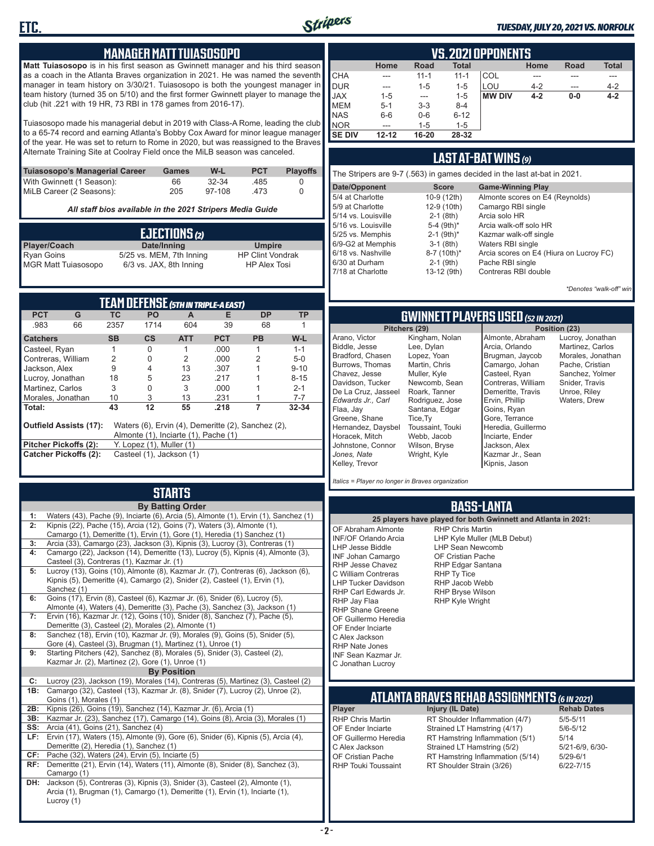

Bu Ch

#### *TUESDAY, JULY 20, 2021 VS. NORFOLK*

#### **MANAGER MATT TUIASOSOPO**

**Matt Tuiasosopo** is in his first season as Gwinnett manager and his third season as a coach in the Atlanta Braves organization in 2021. He was named the seventh manager in team history on 3/30/21. Tuiasosopo is both the youngest manager in team history (turned 35 on 5/10) and the first former Gwinnett player to manage the club (hit .221 with 19 HR, 73 RBI in 178 games from 2016-17).

Tuiasosopo made his managerial debut in 2019 with Class-A Rome, leading the club to a 65-74 record and earning Atlanta's Bobby Cox Award for minor league manager of the year. He was set to return to Rome in 2020, but was reassigned to the Braves Alternate Training Site at Coolray Field once the MiLB season was canceled.

| Tuiasosopo's Managerial Career | Games | W-L    | <b>PCT</b> | <b>Plavoffs</b> |
|--------------------------------|-------|--------|------------|-----------------|
| With Gwinnett (1 Season):      | 66    | 32-34  | .485       |                 |
| MiLB Career (2 Seasons):       | 205   | 97-108 | -473       |                 |

*All staff bios available in the 2021 Stripers Media Guide*

|                                                 | EJECTIONS (2)                                       |                                                |
|-------------------------------------------------|-----------------------------------------------------|------------------------------------------------|
| Player/Coach                                    | Date/Inning                                         | <b>Umpire</b>                                  |
| <b>Ryan Goins</b><br><b>MGR Matt Tuiasosopo</b> | 5/25 vs. MEM, 7th Inning<br>6/3 vs. JAX, 8th Inning | <b>HP Clint Vondrak</b><br><b>HP Alex Tosi</b> |

| <b>TEAM DEFENSE (5TH IN TRIPLE-A EAST)</b> |                                                                                                                             |                |                          |                |            |           |           |  |  |  |  |
|--------------------------------------------|-----------------------------------------------------------------------------------------------------------------------------|----------------|--------------------------|----------------|------------|-----------|-----------|--|--|--|--|
| <b>PCT</b>                                 | G                                                                                                                           | TC.            | <b>PO</b>                | A              | Е          | <b>DP</b> | <b>TP</b> |  |  |  |  |
| .983                                       | 66                                                                                                                          | 2357           | 1714                     | 604            | 39         | 68        |           |  |  |  |  |
| <b>Catchers</b>                            |                                                                                                                             | <b>SB</b>      | $\mathsf{cs}$            | <b>ATT</b>     | <b>PCT</b> | <b>PB</b> | $W-L$     |  |  |  |  |
| Casteel, Ryan                              |                                                                                                                             |                | 0                        |                | .000       | 1         | $1 - 1$   |  |  |  |  |
| Contreras, William                         |                                                                                                                             | $\mathfrak{p}$ | 0                        | $\mathfrak{p}$ | .000       | 2         | $5-0$     |  |  |  |  |
| Jackson, Alex                              |                                                                                                                             | 9              | 4                        | 13             | .307       |           | $9 - 10$  |  |  |  |  |
| Lucroy, Jonathan                           |                                                                                                                             | 18             | 5                        | 23             | .217       |           | $8 - 15$  |  |  |  |  |
| Martinez, Carlos                           |                                                                                                                             | 3              | 0                        | 3              | .000       |           | $2 - 1$   |  |  |  |  |
| Morales, Jonathan                          |                                                                                                                             | 10             | 3                        | 13             | .231       |           | $7 - 7$   |  |  |  |  |
| Total:                                     |                                                                                                                             | 43             | 12                       | 55             | .218       |           | 32-34     |  |  |  |  |
|                                            | <b>Outfield Assists (17):</b><br>Waters (6), Ervin (4), Demeritte (2), Sanchez (2),<br>Almonte (1), Inciarte (1), Pache (1) |                |                          |                |            |           |           |  |  |  |  |
| Pitcher Pickoffs (2):                      |                                                                                                                             |                | Y. Lopez (1), Muller (1) |                |            |           |           |  |  |  |  |
|                                            | <b>Catcher Pickoffs (2):</b>                                                                                                |                | Casteel (1), Jackson (1) |                |            |           |           |  |  |  |  |

# **STARTS**

|     | <b>By Batting Order</b>                                                              |  |  |  |  |  |  |  |  |  |
|-----|--------------------------------------------------------------------------------------|--|--|--|--|--|--|--|--|--|
| 1:  | Waters (43), Pache (9), Inciarte (6), Arcia (5), Almonte (1), Ervin (1), Sanchez (1) |  |  |  |  |  |  |  |  |  |
| 2:  | Kipnis (22), Pache (15), Arcia (12), Goins (7), Waters (3), Almonte (1),             |  |  |  |  |  |  |  |  |  |
|     | Camargo (1), Demeritte (1), Ervin (1), Gore (1), Heredia (1) Sanchez (1)             |  |  |  |  |  |  |  |  |  |
| 3:  | Arcia (33), Camargo (23), Jackson (3), Kipnis (3), Lucroy (3), Contreras (1)         |  |  |  |  |  |  |  |  |  |
| 4:  | Camargo (22), Jackson (14), Demeritte (13), Lucroy (5), Kipnis (4), Almonte (3),     |  |  |  |  |  |  |  |  |  |
|     | Casteel (3), Contreras (1), Kazmar Jr. (1)                                           |  |  |  |  |  |  |  |  |  |
| 5:  | Lucroy (13), Goins (10), Almonte (8), Kazmar Jr. (7), Contreras (6), Jackson (6),    |  |  |  |  |  |  |  |  |  |
|     | Kipnis (5), Demeritte (4), Camargo (2), Snider (2), Casteel (1), Ervin (1),          |  |  |  |  |  |  |  |  |  |
|     | Sanchez (1)                                                                          |  |  |  |  |  |  |  |  |  |
| 6:  | Goins (17), Ervin (8), Casteel (6), Kazmar Jr. (6), Snider (6), Lucroy (5),          |  |  |  |  |  |  |  |  |  |
|     | Almonte (4), Waters (4), Demeritte (3), Pache (3), Sanchez (3), Jackson (1)          |  |  |  |  |  |  |  |  |  |
| 7:  | Ervin (16), Kazmar Jr. (12), Goins (10), Snider (8), Sanchez (7), Pache (5),         |  |  |  |  |  |  |  |  |  |
|     | Demeritte (3), Casteel (2), Morales (2), Almonte (1)                                 |  |  |  |  |  |  |  |  |  |
| 8:  | Sanchez (18), Ervin (10), Kazmar Jr. (9), Morales (9), Goins (5), Snider (5),        |  |  |  |  |  |  |  |  |  |
|     | Gore (4), Casteel (3), Brugman (1), Martinez (1), Unroe (1)                          |  |  |  |  |  |  |  |  |  |
| 9:  | Starting Pitchers (42), Sanchez (8), Morales (5), Snider (3), Casteel (2),           |  |  |  |  |  |  |  |  |  |
|     | Kazmar Jr. (2), Martinez (2), Gore (1), Unroe (1)                                    |  |  |  |  |  |  |  |  |  |
|     | <b>By Position</b>                                                                   |  |  |  |  |  |  |  |  |  |
| C:  | Lucroy (23), Jackson (19), Morales (14), Contreras (5), Martinez (3), Casteel (2)    |  |  |  |  |  |  |  |  |  |
| 1B: | Camargo (32), Casteel (13), Kazmar Jr. (8), Snider (7), Lucroy (2), Unroe (2),       |  |  |  |  |  |  |  |  |  |
|     | Goins (1), Morales (1)                                                               |  |  |  |  |  |  |  |  |  |
| 2B: | Kipnis (26), Goins (19), Sanchez (14), Kazmar Jr. (6), Arcia (1)                     |  |  |  |  |  |  |  |  |  |
| 3B: | Kazmar Jr. (23), Sanchez (17), Camargo (14), Goins (8), Arcia (3), Morales (1)       |  |  |  |  |  |  |  |  |  |
| SS: | Arcia (41), Goins (21), Sanchez (4)                                                  |  |  |  |  |  |  |  |  |  |
| LF: | Ervin (17), Waters (15), Almonte (9), Gore (6), Snider (6), Kipnis (5), Arcia (4),   |  |  |  |  |  |  |  |  |  |
|     | Demeritte (2), Heredia (1), Sanchez (1)                                              |  |  |  |  |  |  |  |  |  |
| CF: | Pache (32), Waters (24), Ervin (5), Inciarte (5)                                     |  |  |  |  |  |  |  |  |  |
| RF: | Demeritte (21), Ervin (14), Waters (11), Almonte (8), Snider (8), Sanchez (3),       |  |  |  |  |  |  |  |  |  |
|     | Camargo (1)                                                                          |  |  |  |  |  |  |  |  |  |
| DH: | Jackson (5), Contreras (3), Kipnis (3), Snider (3), Casteel (2), Almonte (1),        |  |  |  |  |  |  |  |  |  |
|     | Arcia (1), Brugman (1), Camargo (1), Demeritte (1), Ervin (1), Inciarte (1),         |  |  |  |  |  |  |  |  |  |
|     | Lucroy (1)                                                                           |  |  |  |  |  |  |  |  |  |

|               | <b>VS. 2021 OPPONENTS</b>                                    |          |          |               |         |       |         |  |  |  |  |  |  |
|---------------|--------------------------------------------------------------|----------|----------|---------------|---------|-------|---------|--|--|--|--|--|--|
|               | <b>Total</b><br><b>Total</b><br>Home<br>Road<br>Road<br>Home |          |          |               |         |       |         |  |  |  |  |  |  |
| <b>CHA</b>    | ---                                                          | $11 - 1$ | $11 - 1$ | COL           |         |       |         |  |  |  |  |  |  |
| DUR           | ---                                                          | $1 - 5$  | $1 - 5$  | LOU           | $4 - 2$ | ---   | $4 - 2$ |  |  |  |  |  |  |
| <b>JAX</b>    | $1 - 5$                                                      | ---      | $1 - 5$  | <b>MW DIV</b> | $4 - 2$ | $0-0$ | $4 - 2$ |  |  |  |  |  |  |
| <b>MEM</b>    | $5 - 1$                                                      | $3 - 3$  | $8 - 4$  |               |         |       |         |  |  |  |  |  |  |
| <b>NAS</b>    | $6-6$                                                        | $0-6$    | $6 - 12$ |               |         |       |         |  |  |  |  |  |  |
| <b>INOR</b>   | ---                                                          | $1 - 5$  | $1 - 5$  |               |         |       |         |  |  |  |  |  |  |
| <b>SE DIV</b> | $12 - 12$                                                    | 16-20    | 28-32    |               |         |       |         |  |  |  |  |  |  |

### **LAST AT-BAT WINS** *(9)*

| The Stripers are 9-7 (.563) in games decided in the last at-bat in 2021. |                          |                                         |  |  |  |  |  |  |  |  |
|--------------------------------------------------------------------------|--------------------------|-----------------------------------------|--|--|--|--|--|--|--|--|
| Date/Opponent                                                            | <b>Score</b>             | <b>Game-Winning Play</b>                |  |  |  |  |  |  |  |  |
| 5/4 at Charlotte                                                         | 10-9 (12th)              | Almonte scores on E4 (Reynolds)         |  |  |  |  |  |  |  |  |
| 5/9 at Charlotte                                                         | 12-9 (10th)              | Camargo RBI single                      |  |  |  |  |  |  |  |  |
| 5/14 vs. Louisville                                                      | $2-1$ (8th)              | Arcia solo HR                           |  |  |  |  |  |  |  |  |
| 5/16 vs. Louisville                                                      | 5-4 $(9th)*$             | Arcia walk-off solo HR                  |  |  |  |  |  |  |  |  |
| 5/25 vs. Memphis                                                         | $2-1$ (9th) <sup>*</sup> | Kazmar walk-off single                  |  |  |  |  |  |  |  |  |
| 6/9-G2 at Memphis                                                        | $3-1$ (8th)              | Waters RBI single                       |  |  |  |  |  |  |  |  |
| 6/18 vs. Nashville                                                       | 8-7 (10th)*              | Arcia scores on E4 (Hiura on Lucroy FC) |  |  |  |  |  |  |  |  |
| 6/30 at Durham                                                           | $2-1$ (9th)              | Pache RBI single                        |  |  |  |  |  |  |  |  |
| 7/18 at Charlotte                                                        | 13-12 (9th)              | Contreras RBI double                    |  |  |  |  |  |  |  |  |
|                                                                          |                          |                                         |  |  |  |  |  |  |  |  |

*\*Denotes "walk-off" win*

### **GWINNETT PLAYERS USED** *(52 IN 2021)*

| Pitchers (29)       |                  |
|---------------------|------------------|
| Arano, Victor       | Kingham, Nolan   |
| Biddle, Jesse       | Lee, Dylan       |
| Bradford, Chasen    | Lopez, Yoan      |
| Burrows, Thomas     | Martin, Chris    |
| Chavez, Jesse       | Muller, Kyle     |
| Davidson, Tucker    | Newcomb, Sean    |
| De La Cruz, Jasseel | Roark, Tanner    |
| Edwards Jr., Carl   | Rodriguez, Jose  |
| Flaa, Jay           | Santana, Edgar   |
| Greene, Shane       | Tice, Ty         |
| Hernandez, Daysbel  | Toussaint, Touki |
| Horacek, Mitch      | Webb, Jacob      |
| Johnstone, Connor   | Wilson, Bryse    |
| Jones, Nate         | Wright, Kyle     |
| Kelley, Trevor      |                  |
|                     |                  |

Almonte, Abraham Arcia, Orlando Brugman, Jaycob Camargo, Johan Casteel, Ryan Contreras, William Demeritte, Travis Ervin, Phillip Goins, Ryan Gore, Terrance Heredia, Guillermo Inciarte, Ender Jackson, Alex Kazmar Jr., Sean Kipnis, Jason

**Position (23)** Lucroy, Jonathan Martinez, Carlos Morales, Jonathan Pache, Cristian Sanchez, Yolmer Snider, Travis Unroe, Riley Waters, Drew

*Italics = Player no longer in Braves organization*

#### **BASS-LANTA**

|                                                                                                                                                                                                                                                                                                                                                                                          | 25 players have played for both Gwinnett and Atlanta in 2021:                                                                                                                                                     |                    |  |  |  |  |  |  |  |  |
|------------------------------------------------------------------------------------------------------------------------------------------------------------------------------------------------------------------------------------------------------------------------------------------------------------------------------------------------------------------------------------------|-------------------------------------------------------------------------------------------------------------------------------------------------------------------------------------------------------------------|--------------------|--|--|--|--|--|--|--|--|
| OF Abraham Almonte<br><b>INF/OF Orlando Arcia</b><br><b>LHP Jesse Biddle</b><br><b>INF Johan Camargo</b><br>RHP Jesse Chavez<br>C William Contreras<br><b>LHP Tucker Davidson</b><br>RHP Carl Edwards Jr.<br>RHP Jay Flaa<br><b>RHP Shane Greene</b><br>OF Guillermo Heredia<br>OF Ender Inciarte<br>C Alex Jackson<br>RHP Nate Jones<br><b>INF Sean Kazmar Jr.</b><br>C Jonathan Lucroy | <b>RHP Chris Martin</b><br>LHP Kyle Muller (MLB Debut)<br><b>LHP Sean Newcomb</b><br>OF Cristian Pache<br>RHP Edgar Santana<br>RHP Ty Tice<br>RHP Jacob Webb<br><b>RHP Bryse Wilson</b><br><b>RHP Kyle Wright</b> |                    |  |  |  |  |  |  |  |  |
|                                                                                                                                                                                                                                                                                                                                                                                          | <b>ATLANTA BRAVES REHAB ASSIGNMENTS (6 IN 2021)</b>                                                                                                                                                               |                    |  |  |  |  |  |  |  |  |
| Player                                                                                                                                                                                                                                                                                                                                                                                   | Injury (IL Date)                                                                                                                                                                                                  | <b>Rehab Dates</b> |  |  |  |  |  |  |  |  |
| <b>RHP Chris Martin</b>                                                                                                                                                                                                                                                                                                                                                                  | RT Shoulder Inflammation (4/7)                                                                                                                                                                                    | $5/5 - 5/11$       |  |  |  |  |  |  |  |  |
| OF Ender Inciarte                                                                                                                                                                                                                                                                                                                                                                        | Strained LT Hamstring (4/17)                                                                                                                                                                                      | $5/6 - 5/12$       |  |  |  |  |  |  |  |  |
| OF Guillermo Heredia                                                                                                                                                                                                                                                                                                                                                                     | RT Hamstring Inflammation (5/1)                                                                                                                                                                                   | 5/14               |  |  |  |  |  |  |  |  |
| C Alex Jackson                                                                                                                                                                                                                                                                                                                                                                           | Strained LT Hamstring (5/2)                                                                                                                                                                                       | 5/21-6/9, 6/30-    |  |  |  |  |  |  |  |  |
| <b>OF Cristian Pache</b>                                                                                                                                                                                                                                                                                                                                                                 | RT Hamstring Inflammation (5/14)                                                                                                                                                                                  | 5/29-6/1           |  |  |  |  |  |  |  |  |

RT Shoulder Strain (3/26) 6/22-7/15

OF Cristian Pache RT Hamstring Inflammation (5/14)<br>RHP Touki Toussaint RT Shoulder Strain (3/26)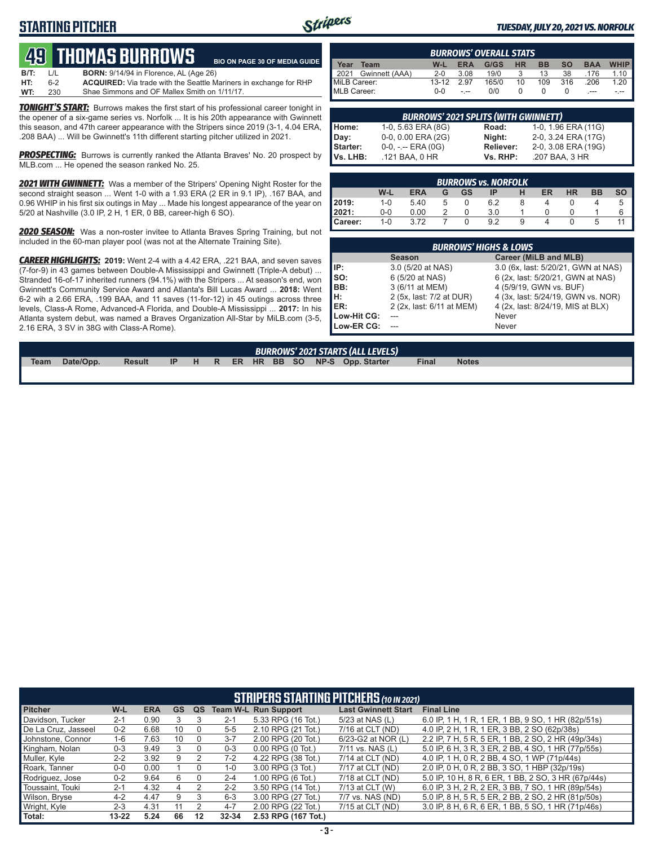## **STARTING PITCHER**



**BE 30 OF MEDIA GUIDE** 

#### *TUESDAY, JULY 20, 2021 VS. NORFOLK*

|      |         | <b>49 THOMAS BURROWS</b>                      | <b>BIO ON PAC</b> |
|------|---------|-----------------------------------------------|-------------------|
| B/T: | $\perp$ | <b>BORN:</b> 9/14/94 in Florence, AL (Age 26) |                   |

**HT:** 6-2 **ACQUIRED:** Via trade with the Seattle Mariners in exchange for RHP Shae Simmons and OF Mallex Smith on 1/11/17.

**TONIGHT'S START:** Burrows makes the first start of his professional career tonight in the opener of a six-game series vs. Norfolk ... It is his 20th appearance with Gwinnett this season, and 47th career appearance with the Stripers since 2019 (3-1, 4.04 ERA, .208 BAA) ... Will be Gwinnett's 11th different starting pitcher utilized in 2021.

**PROSPECTING:** Burrows is currently ranked the Atlanta Braves' No. 20 prospect by MLB.com ... He opened the season ranked No. 25.

*2021 WITH GWINNETT:* Was a member of the Stripers' Opening Night Roster for the second straight season ... Went 1-0 with a 1.93 ERA (2 ER in 9.1 IP), .167 BAA, and 0.96 WHIP in his first six outings in May ... Made his longest appearance of the year on 5/20 at Nashville (3.0 IP, 2 H, 1 ER, 0 BB, career-high 6 SO).

*2020 SEASON:* Was a non-roster invitee to Atlanta Braves Spring Training, but not included in the 60-man player pool (was not at the Alternate Training Site).

*CAREER HIGHLIGHTS:* **2019:** Went 2-4 with a 4.42 ERA, .221 BAA, and seven saves (7-for-9) in 43 games between Double-A Mississippi and Gwinnett (Triple-A debut) ... Stranded 16-of-17 inherited runners (94.1%) with the Stripers ... At season's end, won Gwinnett's Community Service Award and Atlanta's Bill Lucas Award ... **2018:** Went 6-2 wih a 2.66 ERA, .199 BAA, and 11 saves (11-for-12) in 45 outings across three levels, Class-A Rome, Advanced-A Florida, and Double-A Mississippi ... **2017:** In his Atlanta system debut, was named a Braves Organization All-Star by MiLB.com (3-5, 2.16 ERA, 3 SV in 38G with Class-A Rome).

| <b>BURROWS' OVERALL STATS</b> |           |            |       |           |           |           |            |             |  |  |  |  |
|-------------------------------|-----------|------------|-------|-----------|-----------|-----------|------------|-------------|--|--|--|--|
| Year<br>Team                  | W-L       | <b>ERA</b> | G/GS  | <b>HR</b> | <b>BB</b> | <b>SO</b> | <b>BAA</b> | <b>WHIP</b> |  |  |  |  |
| Gwinnett (AAA)<br>2021        | $2 - 0$   | 3.08       | 19/0  |           | 13        | 38        | .176       | 1.10        |  |  |  |  |
| MiLB Career:                  | $13 - 12$ | 297        | 165/0 | 10        | 109       | 316       | .206       | 1.20        |  |  |  |  |
| MLB Career:                   | ი-ი       | $-1$       | 0/0   |           |           |           |            |             |  |  |  |  |

|                  | <b>BURROWS' 2021 SPLITS (WITH GWINNETT)</b> |                  |                     |  |  |  |  |  |  |  |  |  |  |
|------------------|---------------------------------------------|------------------|---------------------|--|--|--|--|--|--|--|--|--|--|
| Home:            | 1-0, 5.63 ERA (8G)                          | Road:            | 1-0, 1.96 ERA (11G) |  |  |  |  |  |  |  |  |  |  |
|                  | 0-0, 0.00 ERA (2G)                          | Night:           | 2-0, 3.24 ERA (17G) |  |  |  |  |  |  |  |  |  |  |
| Day:<br>Starter: | $0-0, - -$ ERA $(0G)$                       | <b>Reliever:</b> | 2-0, 3.08 ERA (19G) |  |  |  |  |  |  |  |  |  |  |
| Vs. LHB:         | .121 BAA, 0 HR                              | Vs. RHP:         | .207 BAA, 3 HR      |  |  |  |  |  |  |  |  |  |  |

|         | <b>BURROWS vs. NORFOLK</b> |            |   |           |     |   |    |           |           |           |  |  |  |
|---------|----------------------------|------------|---|-----------|-----|---|----|-----------|-----------|-----------|--|--|--|
|         | W-L                        | <b>ERA</b> | G | <b>GS</b> | ΙP  | н | ER | <b>HR</b> | <b>BB</b> | <b>SO</b> |  |  |  |
| 2019:   | $1 - 0$                    | 5.40       |   | 0         | 6.2 | 8 |    |           |           | 5         |  |  |  |
| 2021:   | $0-0$                      | 0.00       |   |           | 3.0 |   |    |           |           |           |  |  |  |
| Career: | $1 - 0$                    | 3.72       |   |           | 9.2 | 9 |    |           | b         |           |  |  |  |

|             | <b>BURROWS' HIGHS &amp; LOWS</b> |                                     |  |  |  |  |  |  |  |  |  |  |  |
|-------------|----------------------------------|-------------------------------------|--|--|--|--|--|--|--|--|--|--|--|
|             | <b>Season</b>                    | Career (MiLB and MLB)               |  |  |  |  |  |  |  |  |  |  |  |
| IP:         | 3.0 (5/20 at NAS)                | 3.0 (6x, last: 5/20/21, GWN at NAS) |  |  |  |  |  |  |  |  |  |  |  |
| SO:         | 6 (5/20 at NAS)                  | 6 (2x, last: 5/20/21, GWN at NAS)   |  |  |  |  |  |  |  |  |  |  |  |
| IBB:        | 3 (6/11 at MEM)                  | 4 (5/9/19, GWN vs. BUF)             |  |  |  |  |  |  |  |  |  |  |  |
| Iн:         | 2 (5x, last: 7/2 at DUR)         | 4 (3x, last: 5/24/19, GWN vs. NOR)  |  |  |  |  |  |  |  |  |  |  |  |
| <b>IER:</b> | 2 (2x, last: 6/11 at MEM)        | 4 (2x, last: 8/24/19, MIS at BLX)   |  |  |  |  |  |  |  |  |  |  |  |
| Low-Hit CG: |                                  | Never                               |  |  |  |  |  |  |  |  |  |  |  |
| Low-ER CG:  |                                  | Never                               |  |  |  |  |  |  |  |  |  |  |  |

| <b>BURROWS' 2021 STARTS (ALL LEVELS)</b> |           |               |     |  |  |  |  |  |  |  |                                   |              |              |  |
|------------------------------------------|-----------|---------------|-----|--|--|--|--|--|--|--|-----------------------------------|--------------|--------------|--|
| Team                                     | Date/Opp. | <b>Result</b> | IP. |  |  |  |  |  |  |  | H R ER HR BB SO NP-S Opp. Starter | <b>Final</b> | <b>Notes</b> |  |
|                                          |           |               |     |  |  |  |  |  |  |  |                                   |              |              |  |

|                     | <b>STRIPERS STARTING PITCHERS</b> (10 IN 2021) |            |           |    |           |                             |                            |                                                     |  |
|---------------------|------------------------------------------------|------------|-----------|----|-----------|-----------------------------|----------------------------|-----------------------------------------------------|--|
| <b>Pitcher</b>      | W-L                                            | <b>ERA</b> | <b>GS</b> | QS |           | <b>Team W-L Run Support</b> | <b>Last Gwinnett Start</b> | <b>Final Line</b>                                   |  |
| Davidson, Tucker    | $2 - 1$                                        | 0.90       |           |    | $2 - 1$   | 5.33 RPG (16 Tot.)          | 5/23 at NAS (L)            | 6.0 IP, 1 H, 1 R, 1 ER, 1 BB, 9 SO, 1 HR (82p/51s)  |  |
| De La Cruz, Jasseel | $0 - 2$                                        | 6.68       | 10        |    | $5 - 5$   | 2.10 RPG (21 Tot.)          | 7/16 at CLT (ND)           | 4.0 IP, 2 H, 1 R, 1 ER, 3 BB, 2 SO (62p/38s)        |  |
| Johnstone, Connor   | $1 - 6$                                        | 7.63       | 10        |    | $3 - 7$   | 2.00 RPG (20 Tot.)          | 6/23-G2 at NOR (L)         | 2.2 IP, 7 H, 5 R, 5 ER, 1 BB, 2 SO, 2 HR (49p/34s)  |  |
| Kingham, Nolan      | $0 - 3$                                        | 9.49       | 3         |    | $0 - 3$   | $0.00$ RPG $(0$ Tot.)       | 7/11 vs. NAS (L)           | 5.0 IP, 6 H, 3 R, 3 ER, 2 BB, 4 SO, 1 HR (77p/55s)  |  |
| Muller, Kyle        | $2 - 2$                                        | 3.92       | 9         |    | $7-2$     | 4.22 RPG (38 Tot.)          | 7/14 at CLT (ND)           | 4.0 IP, 1 H, 0 R, 2 BB, 4 SO, 1 WP (71p/44s)        |  |
| Roark, Tanner       | $0 - 0$                                        | 0.00       |           |    | $1-0$     | 3.00 RPG (3 Tot.)           | 7/17 at CLT (ND)           | 2.0 IP, 0 H, 0 R, 2 BB, 3 SO, 1 HBP (32p/19s)       |  |
| Rodriguez, Jose     | $0 - 2$                                        | 9.64       | 6         |    | $2 - 4$   | 1.00 RPG (6 Tot.)           | $7/18$ at CLT (ND)         | 5.0 IP, 10 H, 8 R, 6 ER, 1 BB, 2 SO, 3 HR (67p/44s) |  |
| Toussaint. Touki    | $2 - 1$                                        | 4.32       | 4         |    | $2 - 2$   | 3.50 RPG (14 Tot.)          | 7/13 at CLT (W)            | 6.0 IP, 3 H, 2 R, 2 ER, 3 BB, 7 SO, 1 HR (89p/54s)  |  |
| Wilson, Bryse       | $4 - 2$                                        | 4.47       | 9         |    | $6 - 3$   | 3.00 RPG (27 Tot.)          | 7/7 vs. NAS (ND)           | 5.0 IP, 8 H, 5 R, 5 ER, 2 BB, 2 SO, 2 HR (81p/50s)  |  |
| Wright, Kyle        | $2 - 3$                                        | 4.31       | 11        |    | $4 - 7$   | 2.00 RPG (22 Tot.)          | 7/15 at CLT (ND)           | 3.0 IP, 8 H, 6 R, 6 ER, 1 BB, 5 SO, 1 HR (71p/46s)  |  |
| Total:              | $13 - 22$                                      | 5.24       | 66        | 12 | $32 - 34$ | 2.53 RPG (167 Tot.)         |                            |                                                     |  |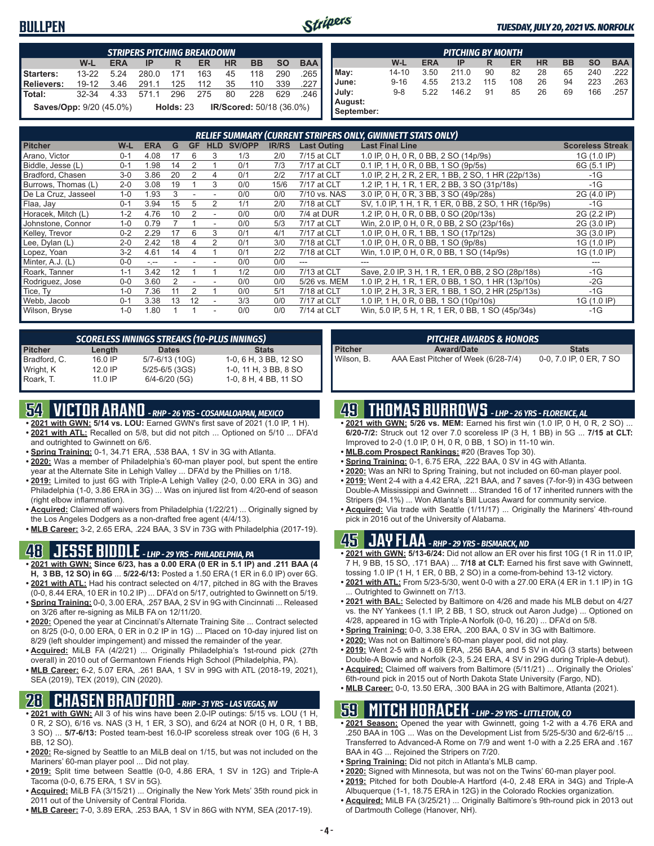### **BULLPEN**



#### *TUESDAY, JULY 20, 2021 VS. NORFOLK*

| <b>STRIPERS PITCHING BREAKDOWN</b> |           |            |       |             |           |           |                                 |           |            |
|------------------------------------|-----------|------------|-------|-------------|-----------|-----------|---------------------------------|-----------|------------|
|                                    | W-L       | <b>ERA</b> | IP    | R           | <b>ER</b> | <b>HR</b> | <b>BB</b>                       | <b>SO</b> | <b>BAA</b> |
| Starters:                          | $13 - 22$ | 5.24       | 280.0 | 171         | 163       | 45        | 118                             | 290       | .265       |
| <b>Relievers:</b>                  | $19 - 12$ | 3.46       | 291.1 | 125         | 112       | 35        | 110                             | 339       | ا 227.     |
| Total:                             | $32 - 34$ | 4.33       | 571.1 | 296         | 275       | 80        | 228                             | 629       | -246       |
| Saves/Opp: 9/20 (45.0%)            |           |            |       | Holds: $23$ |           |           | <b>IR/Scored:</b> 50/18 (36.0%) |           |            |

| <b>PITCHING BY MONTH</b> |           |            |       |     |     |           |           |           |            |
|--------------------------|-----------|------------|-------|-----|-----|-----------|-----------|-----------|------------|
|                          | W-L       | <b>ERA</b> | IP    | R   | ER  | <b>HR</b> | <b>BB</b> | <b>SO</b> | <b>BAA</b> |
| May:                     | $14 - 10$ | 3.50       | 211.0 | 90  | 82  | 28        | 65        | 240       | .222       |
| June:                    | $9 - 16$  | 4.55       | 213.2 | 115 | 108 | 26        | 94        | 223       | .263       |
| July:                    | $9 - 8$   | 5.22       | 146.2 | 91  | 85  | 26        | 69        | 166       | .257       |
| August:<br>September:    |           |            |       |     |     |           |           |           |            |

| <b>RELIEF SUMMARY (CURRENT STRIPERS ONLY, GWINNETT STATS ONLY)</b> |         |                 |    |           |            |               |              |                    |                                                       |                         |
|--------------------------------------------------------------------|---------|-----------------|----|-----------|------------|---------------|--------------|--------------------|-------------------------------------------------------|-------------------------|
| <b>Pitcher</b>                                                     | W-L     | <b>ERA</b>      | G  | <b>GF</b> | <b>HLD</b> | <b>SV/OPP</b> | <b>IR/RS</b> | <b>Last Outing</b> | <b>Last Final Line</b>                                | <b>Scoreless Streak</b> |
| Arano, Victor                                                      | $0 - 1$ | 4.08            | 17 | 6         | 3          | 1/3           | 2/0          | 7/15 at CLT        | 1.0 IP, 0 H, 0 R, 0 BB, 2 SO (14p/9s)                 | 1G (1.0 IP)             |
| Biddle, Jesse (L)                                                  | $0 - 1$ | 1.98            | 14 | 2         |            | 0/1           | 7/3          | 7/17 at CLT        | 0.1 IP, 1 H, 0 R, 0 BB, 1 SO (9p/5s)                  | 6G (5.1 IP)             |
| Bradford, Chasen                                                   | $3-0$   | 3.86            | 20 | 2         | 4          | 0/1           | 2/2          | 7/17 at CLT        | 1.0 IP, 2 H, 2 R, 2 ER, 1 BB, 2 SO, 1 HR (22p/13s)    | $-1G$                   |
| Burrows, Thomas (L)                                                | $2 - 0$ | 3.08            | 19 |           | 3          | 0/0           | 15/6         | 7/17 at CLT        | 1.2 IP, 1 H, 1 R, 1 ER, 2 BB, 3 SO (31p/18s)          | $-1G$                   |
| De La Cruz, Jasseel                                                | $1 - 0$ | 1.93            |    |           |            | 0/0           | 0/0          | 7/10 vs. NAS       | 3.0 IP, 0 H, 0 R, 3 BB, 3 SO (49p/28s)                | 2G (4.0 IP)             |
| Flaa, Jay                                                          | $0 - 1$ | 3.94            | 15 | 5         | 2          | 1/1           | 2/0          | 7/18 at CLT        | SV, 1.0 IP, 1 H, 1 R, 1 ER, 0 BB, 2 SO, 1 HR (16p/9s) | $-1G$                   |
| Horacek, Mitch (L)                                                 | $1 - 2$ | 4.76            | 10 | 2         |            | 0/0           | 0/0          | 7/4 at DUR         | 1.2 IP, 0 H, 0 R, 0 BB, 0 SO (20p/13s)                | 2G (2.2 IP)             |
| Johnstone, Connor                                                  | $1 - 0$ | 0.79            |    |           |            | 0/0           | 5/3          | 7/17 at CLT        | Win, 2.0 IP, 0 H, 0 R, 0 BB, 2 SO (23p/16s)           | 2G (3.0 IP)             |
| Kelley, Trevor                                                     | $0 - 2$ | 2.29            | 17 | 6         | 3          | 0/1           | 4/1          | 7/17 at CLT        | 1.0 IP, 0 H, 0 R, 1 BB, 1 SO (17p/12s)                | 3G (3.0 IP)             |
| Lee, Dylan (L)                                                     | $2 - 0$ | 2.42            | 18 |           |            | 0/1           | 3/0          | 7/18 at CLT        | 1.0 IP, 0 H, 0 R, 0 BB, 1 SO (9p/8s)                  | 1G (1.0 IP)             |
| Lopez, Yoan                                                        | $3-2$   | 4.61            | 14 |           |            | 0/1           | 2/2          | 7/18 at CLT        | Win, 1.0 IP, 0 H, 0 R, 0 BB, 1 SO (14p/9s)            | 1G (1.0 IP)             |
| Minter, A.J. (L)                                                   | $0 - 0$ | $\sim$ , $\sim$ |    |           |            | 0/0           | 0/0          | ---                | ---                                                   |                         |
| Roark, Tanner                                                      | $1 - 1$ | 3.42            | 12 |           |            | 1/2           | 0/0          | 7/13 at CLT        | Save, 2.0 IP, 3 H, 1 R, 1 ER, 0 BB, 2 SO (28p/18s)    | $-1G$                   |
| Rodriguez, Jose                                                    | $0 - 0$ | 3.60            |    |           |            | 0/0           | 0/0          | 5/26 vs. MEM       | 1.0 IP, 2 H, 1 R, 1 ER, 0 BB, 1 SO, 1 HR (13p/10s)    | $-2G$                   |
| Tice, Ty                                                           | $1 - 0$ | 7.36            |    | 2         |            | 0/0           | 5/1          | 7/18 at CLT        | 1.0 IP, 2 H, 3 R, 3 ER, 1 BB, 1 SO, 2 HR (25p/13s)    | $-1G$                   |
| Webb, Jacob                                                        | $0 - 1$ | 3.38            | 13 | 12        |            | 3/3           | 0/0          | 7/17 at CLT        | 1.0 IP, 1 H, 0 R, 0 BB, 1 SO (10p/10s)                | 1G (1.0 IP)             |
| Wilson, Bryse                                                      | $1 - 0$ | 1.80            |    |           |            | 0/0           | 0/0          | 7/14 at CLT        | Win, 5.0 IP, 5 H, 1 R, 1 ER, 0 BB, 1 SO (45p/34s)     | $-1G$                   |

| <b>SCORELESS INNINGS STREAKS (10-PLUS INNINGS)</b> |           |                    |                       |  |  |  |  |
|----------------------------------------------------|-----------|--------------------|-----------------------|--|--|--|--|
| <b>Pitcher</b>                                     | Length    | <b>Dates</b>       | <b>Stats</b>          |  |  |  |  |
| Bradford, C.                                       | $16.0$ IP | 5/7-6/13 (10G)     | 1-0, 6 H, 3 BB, 12 SO |  |  |  |  |
| Wright, K                                          | 12.0 IP   | $5/25 - 6/5$ (3GS) | 1-0, 11 H, 3 BB, 8 SO |  |  |  |  |
| Roark, T.                                          | $11.0$ IP | $6/4 - 6/20$ (5G)  | 1-0, 8 H, 4 BB, 11 SO |  |  |  |  |

# **54 VICTOR ARANO** *- RHP - 26 YRS - COSAMALOAPAN, MEXICO*

- **• 2021 with GWN: 5/14 vs. LOU:** Earned GWN's first save of 2021 (1.0 IP, 1 H). **• 2021 with ATL:** Recalled on 5/8, but did not pitch ... Optioned on 5/10 ... DFA'd and outrighted to Gwinnett on 6/6.
- **• Spring Training:** 0-1, 34.71 ERA, .538 BAA, 1 SV in 3G with Atlanta.
- **• 2020:** Was a member of Philadelphia's 60-man player pool, but spent the entire year at the Alternate Site in Lehigh Valley ... DFA'd by the Phillies on 1/18.
- **• 2019:** Limited to just 6G with Triple-A Lehigh Valley (2-0, 0.00 ERA in 3G) and Philadelphia (1-0, 3.86 ERA in 3G) ... Was on injured list from 4/20-end of season (right elbow inflammation).
- **• Acquired:** Claimed off waivers from Philadelphia (1/22/21) ... Originally signed by the Los Angeles Dodgers as a non-drafted free agent (4/4/13).
- **• MLB Career:** 3-2, 2.65 ERA, .224 BAA, 3 SV in 73G with Philadelphia (2017-19).

### **48 JESSE BIDDLE** *- LHP - 29 YRS - PHILADELPHIA, PA*

- **• 2021 with GWN: Since 6/23, has a 0.00 ERA (0 ER in 5.1 IP) and .211 BAA (4 H, 3 BB, 12 SO) in 6G** ... **5/22-6/13:** Posted a 1.50 ERA (1 ER in 6.0 IP) over 6G.
- **• 2021 with ATL:** Had his contract selected on 4/17, pitched in 8G with the Braves (0-0, 8.44 ERA, 10 ER in 10.2 IP) ... DFA'd on 5/17, outrighted to Gwinnett on 5/19.
- **• Spring Training:** 0-0, 3.00 ERA, .257 BAA, 2 SV in 9G with Cincinnati ... Released on 3/26 after re-signing as MiLB FA on 12/11/20.
- **• 2020:** Opened the year at Cincinnati's Alternate Training Site ... Contract selected on 8/25 (0-0, 0.00 ERA, 0 ER in 0.2 IP in 1G) ... Placed on 10-day injured list on 8/29 (left shoulder impingement) and missed the remainder of the year.
- **• Acquired:** MiLB FA (4/2/21) ... Originally Philadelphia's 1st-round pick (27th overall) in 2010 out of Germantown Friends High School (Philadelphia, PA).
- **• MLB Career:** 6-2, 5.07 ERA, .261 BAA, 1 SV in 99G with ATL (2018-19, 2021), SEA (2019), TEX (2019), CIN (2020).

## **28 CHASEN BRADFORD** *- RHP - 31 YRS - LAS VEGAS, NV*

- **• 2021 with GWN:** All 3 of his wins have been 2.0-IP outings: 5/15 vs. LOU (1 H, 0 R, 2 SO), 6/16 vs. NAS (3 H, 1 ER, 3 SO), and 6/24 at NOR (0 H, 0 R, 1 BB, 3 SO) ... **5/7-6/13:** Posted team-best 16.0-IP scoreless streak over 10G (6 H, 3 BB, 12 SO).
- **• 2020:** Re-signed by Seattle to an MiLB deal on 1/15, but was not included on the Mariners' 60-man player pool ... Did not play.
- **• 2019:** Split time between Seattle (0-0, 4.86 ERA, 1 SV in 12G) and Triple-A Tacoma (0-0, 6.75 ERA, 1 SV in 5G).
- **• Acquired:** MiLB FA (3/15/21) ... Originally the New York Mets' 35th round pick in 2011 out of the University of Central Florida.
- **• MLB Career:** 7-0, 3.89 ERA, .253 BAA, 1 SV in 86G with NYM, SEA (2017-19).

#### *PITCHER AWARDS & HONORS*

**Pitcher <b>Award/Date Stats**<br>
Wilson B AAA Fast Pitcher of Week (6/28-7/4) 0-0 7 0 IP 0 F AAA East Pitcher of Week (6/28-7/4) 0-0, 7.0 IP, 0 ER, 7 SO

### **49 THOMAS BURROWS** *- LHP - 26 YRS - FLORENCE, AL*

- **• 2021 with GWN: 5/26 vs. MEM:** Earned his first win (1.0 IP, 0 H, 0 R, 2 SO) ... **6/20-7/2:** Struck out 12 over 7.0 scoreless IP (3 H, 1 BB) in 5G ... **7/15 at CLT:** Improved to 2-0 (1.0 IP, 0 H, 0 R, 0 BB, 1 SO) in 11-10 win.
- **• MLB.com Prospect Rankings:** #20 (Braves Top 30).
- **• Spring Training:** 0-1, 6.75 ERA, .222 BAA, 0 SV in 4G with Atlanta.
- **• 2020:** Was an NRI to Spring Training, but not included on 60-man player pool.
- **• 2019:** Went 2-4 with a 4.42 ERA, .221 BAA, and 7 saves (7-for-9) in 43G between Double-A Mississippi and Gwinnett ... Stranded 16 of 17 inherited runners with the Stripers (94.1%) ... Won Atlanta's Bill Lucas Award for community service.
- **• Acquired:** Via trade with Seattle (1/11/17) ... Originally the Mariners' 4th-round pick in 2016 out of the University of Alabama.

## **45 JAY FLAA** *- RHP - 29 YRS - BISMARCK, ND*

- **• 2021 with GWN: 5/13-6/24:** Did not allow an ER over his first 10G (1 R in 11.0 IP, 7 H, 9 BB, 15 SO, .171 BAA) ... **7/18 at CLT:** Earned his first save with Gwinnett, tossing 1.0 IP (1 H, 1 ER, 0 BB, 2 SO) in a come-from-behind 13-12 victory.
- **• 2021 with ATL:** From 5/23-5/30, went 0-0 with a 27.00 ERA (4 ER in 1.1 IP) in 1G Outrighted to Gwinnett on 7/13.
- **• 2021 with BAL:** Selected by Baltimore on 4/26 and made his MLB debut on 4/27 vs. the NY Yankees (1.1 IP, 2 BB, 1 SO, struck out Aaron Judge) ... Optioned on 4/28, appeared in 1G with Triple-A Norfolk (0-0, 16.20) ... DFA'd on 5/8.
- **• Spring Training:** 0-0, 3.38 ERA, .200 BAA, 0 SV in 3G with Baltimore.
- **• 2020:** Was not on Baltimore's 60-man player pool, did not play.
- **• 2019:** Went 2-5 with a 4.69 ERA, .256 BAA, and 5 SV in 40G (3 starts) between Double-A Bowie and Norfolk (2-3, 5.24 ERA, 4 SV in 29G during Triple-A debut).
- **• Acquired:** Claimed off waivers from Baltimore (5/11/21) ... Originally the Orioles' 6th-round pick in 2015 out of North Dakota State University (Fargo, ND).
- **• MLB Career:** 0-0, 13.50 ERA, .300 BAA in 2G with Baltimore, Atlanta (2021).

## **59 MITCH HORACEK** *- LHP - 29 YRS - LITTLETON, CO*

- **• 2021 Season:** Opened the year with Gwinnett, going 1-2 with a 4.76 ERA and .250 BAA in 10G ... Was on the Development List from 5/25-5/30 and 6/2-6/15 ... Transferred to Advanced-A Rome on 7/9 and went 1-0 with a 2.25 ERA and .167 BAA in 4G ... Rejoined the Stripers on 7/20.
- **• Spring Training:** Did not pitch in Atlanta's MLB camp.
- **• 2020:** Signed with Minnesota, but was not on the Twins' 60-man player pool. **• 2019:** Pitched for both Double-A Hartford (4-0, 2.48 ERA in 34G) and Triple-A
- Albuquerque (1-1, 18.75 ERA in 12G) in the Colorado Rockies organization. **• Acquired:** MiLB FA (3/25/21) ... Originally Baltimore's 9th-round pick in 2013 out
- of Dartmouth College (Hanover, NH).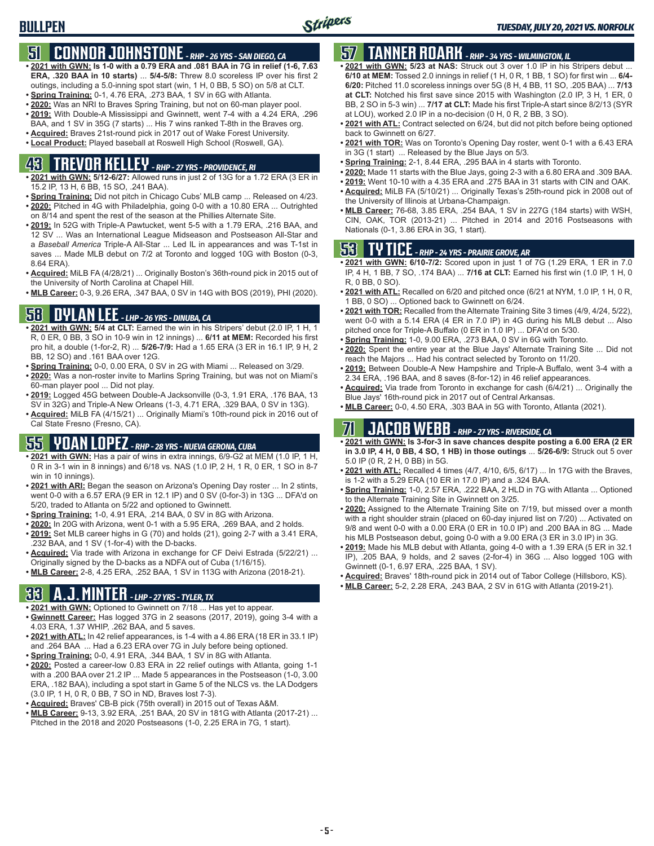# **51 CONNOR JOHNSTONE** *- RHP - 26 YRS - SAN DIEGO, CA*

- **• 2021 with GWN: Is 1-0 with a 0.79 ERA and .081 BAA in 7G in relief (1-6, 7.63 ERA, .320 BAA in 10 starts)** ... **5/4-5/8:** Threw 8.0 scoreless IP over his first 2 outings, including a 5.0-inning spot start (win, 1 H, 0 BB, 5 SO) on 5/8 at CLT.
- **• Spring Training:** 0-1, 4.76 ERA, .273 BAA, 1 SV in 6G with Atlanta.
- **• 2020:** Was an NRI to Braves Spring Training, but not on 60-man player pool. **• 2019:** With Double-A Mississippi and Gwinnett, went 7-4 with a 4.24 ERA, .296
- BAA, and 1 SV in 35G (7 starts) ... His 7 wins ranked T-8th in the Braves org.
- **• Acquired:** Braves 21st-round pick in 2017 out of Wake Forest University.
- **• Local Product:** Played baseball at Roswell High School (Roswell, GA).

# **43 TREVOR KELLEY** *- RHP - 27 YRS - PROVIDENCE, RI*

- **• 2021 with GWN: 5/12-6/27:** Allowed runs in just 2 of 13G for a 1.72 ERA (3 ER in 15.2 IP, 13 H, 6 BB, 15 SO, .241 BAA).
- **• Spring Training:** Did not pitch in Chicago Cubs' MLB camp ... Released on 4/23. **• 2020:** Pitched in 4G with Philadelphia, going 0-0 with a 10.80 ERA ... Outrighted on 8/14 and spent the rest of the season at the Phillies Alternate Site.
- **• 2019:** In 52G with Triple-A Pawtucket, went 5-5 with a 1.79 ERA, .216 BAA, and 12 SV ... Was an International League Midseason and Postseason All-Star and a *Baseball America* Triple-A All-Star ... Led IL in appearances and was T-1st in saves ... Made MLB debut on 7/2 at Toronto and logged 10G with Boston (0-3, 8.64 ERA).
- **• Acquired:** MiLB FA (4/28/21) ... Originally Boston's 36th-round pick in 2015 out of the University of North Carolina at Chapel Hill.
- **• MLB Career:** 0-3, 9.26 ERA, .347 BAA, 0 SV in 14G with BOS (2019), PHI (2020).

## **58 DYLAN LEE** *- LHP - 26 YRS - DINUBA, CA*

- **• 2021 with GWN: 5/4 at CLT:** Earned the win in his Stripers' debut (2.0 IP, 1 H, 1 R, 0 ER, 0 BB, 3 SO in 10-9 win in 12 innings) ... **6/11 at MEM:** Recorded his first pro hit, a double (1-for-2, R) ... **5/26-7/9:** Had a 1.65 ERA (3 ER in 16.1 IP, 9 H, 2 BB, 12 SO) and .161 BAA over 12G.
- **• Spring Training:** 0-0, 0.00 ERA, 0 SV in 2G with Miami ... Released on 3/29.
- **• 2020:** Was a non-roster invite to Marlins Spring Training, but was not on Miami's 60-man player pool ... Did not play.
- **• 2019:** Logged 45G between Double-A Jacksonville (0-3, 1.91 ERA, .176 BAA, 13 SV in 32G) and Triple-A New Orleans (1-3, 4.71 ERA, .329 BAA, 0 SV in 13G).
- **• Acquired:** MiLB FA (4/15/21) ... Originally Miami's 10th-round pick in 2016 out of Cal State Fresno (Fresno, CA).

## **55 YOAN LOPEZ** *- RHP - 28 YRS - NUEVA GERONA, CUBA*

- **• 2021 with GWN:** Has a pair of wins in extra innings, 6/9-G2 at MEM (1.0 IP, 1 H, 0 R in 3-1 win in 8 innings) and 6/18 vs. NAS (1.0 IP, 2 H, 1 R, 0 ER, 1 SO in 8-7 win in 10 innings).
- **• 2021 with ARI:** Began the season on Arizona's Opening Day roster ... In 2 stints, went 0-0 with a 6.57 ERA (9 ER in 12.1 IP) and 0 SV (0-for-3) in 13G ... DFA'd on 5/20, traded to Atlanta on 5/22 and optioned to Gwinnett.
- **• Spring Training:** 1-0, 4.91 ERA, .214 BAA, 0 SV in 8G with Arizona.
- **• 2020:** In 20G with Arizona, went 0-1 with a 5.95 ERA, .269 BAA, and 2 holds.
- **• 2019:** Set MLB career highs in G (70) and holds (21), going 2-7 with a 3.41 ERA, .232 BAA, and 1 SV (1-for-4) with the D-backs.
- **• Acquired:** Via trade with Arizona in exchange for CF Deivi Estrada (5/22/21) ... Originally signed by the D-backs as a NDFA out of Cuba (1/16/15).
- **• MLB Career:** 2-8, 4.25 ERA, .252 BAA, 1 SV in 113G with Arizona (2018-21).

# **33 A.J. MINTER** *- LHP - 27 YRS - TYLER, TX*

- **• 2021 with GWN:** Optioned to Gwinnett on 7/18 ... Has yet to appear.
- **• Gwinnett Career:** Has logged 37G in 2 seasons (2017, 2019), going 3-4 with a 4.03 ERA, 1.37 WHIP, .262 BAA, and 5 saves.
- **• 2021 with ATL:** In 42 relief appearances, is 1-4 with a 4.86 ERA (18 ER in 33.1 IP) and .264 BAA ... Had a 6.23 ERA over 7G in July before being optioned.
- **• Spring Training:** 0-0, 4.91 ERA, .344 BAA, 1 SV in 8G with Atlanta.
- **• 2020:** Posted a career-low 0.83 ERA in 22 relief outings with Atlanta, going 1-1 with a .200 BAA over 21.2 IP ... Made 5 appearances in the Postseason (1-0, 3.00 ERA, .182 BAA), including a spot start in Game 5 of the NLCS vs. the LA Dodgers (3.0 IP, 1 H, 0 R, 0 BB, 7 SO in ND, Braves lost 7-3).
- **• Acquired:** Braves' CB-B pick (75th overall) in 2015 out of Texas A&M.
- **• MLB Career:** 9-13, 3.92 ERA, .251 BAA, 20 SV in 181G with Atlanta (2017-21) ... Pitched in the 2018 and 2020 Postseasons (1-0, 2.25 ERA in 7G, 1 start).

# **57 TANNER ROARK** *- RHP - 34 YRS - WILMINGTON, IL*

- **• 2021 with GWN: 5/23 at NAS:** Struck out 3 over 1.0 IP in his Stripers debut ... **6/10 at MEM:** Tossed 2.0 innings in relief (1 H, 0 R, 1 BB, 1 SO) for first win ... **6/4- 6/20:** Pitched 11.0 scoreless innings over 5G (8 H, 4 BB, 11 SO, .205 BAA) ... **7/13 at CLT:** Notched his first save since 2015 with Washington (2.0 IP, 3 H, 1 ER, 0 BB, 2 SO in 5-3 win) ... **7/17 at CLT:** Made his first Triple-A start since 8/2/13 (SYR at LOU), worked 2.0 IP in a no-decision (0 H, 0 R, 2 BB, 3 SO).
- **• 2021 with ATL:** Contract selected on 6/24, but did not pitch before being optioned back to Gwinnett on 6/27.
- **• 2021 with TOR:** Was on Toronto's Opening Day roster, went 0-1 with a 6.43 ERA in 3G (1 start) ... Released by the Blue Jays on 5/3.
- **• Spring Training:** 2-1, 8.44 ERA, .295 BAA in 4 starts with Toronto.
- **• 2020:** Made 11 starts with the Blue Jays, going 2-3 with a 6.80 ERA and .309 BAA.
- **• 2019:** Went 10-10 with a 4.35 ERA and .275 BAA in 31 starts with CIN and OAK. **• Acquired:** MiLB FA (5/10/21) ... Originally Texas's 25th-round pick in 2008 out of
- the University of Illinois at Urbana-Champaign. **• MLB Career:** 76-68, 3.85 ERA, .254 BAA, 1 SV in 227G (184 starts) with WSH, CIN, OAK, TOR (2013-21) ... Pitched in 2014 and 2016 Postseasons with Nationals (0-1, 3.86 ERA in 3G, 1 start).

# **53 TY TICE** *- RHP - 24 YRS - PRAIRIE GROVE, AR*

- **• 2021 with GWN: 6/10-7/2:** Scored upon in just 1 of 7G (1.29 ERA, 1 ER in 7.0 IP, 4 H, 1 BB, 7 SO, .174 BAA) ... **7/16 at CLT:** Earned his first win (1.0 IP, 1 H, 0 R, 0 BB, 0 SO).
- **• 2021 with ATL:** Recalled on 6/20 and pitched once (6/21 at NYM, 1.0 IP, 1 H, 0 R, 1 BB, 0 SO) ... Optioned back to Gwinnett on 6/24.
- **• 2021 with TOR:** Recalled from the Alternate Training Site 3 times (4/9, 4/24, 5/22), went 0-0 with a 5.14 ERA (4 ER in 7.0 IP) in 4G during his MLB debut ... Also pitched once for Triple-A Buffalo (0 ER in 1.0 IP) ... DFA'd on 5/30.
- **• Spring Training:** 1-0, 9.00 ERA, .273 BAA, 0 SV in 6G with Toronto.
- **• 2020:** Spent the entire year at the Blue Jays' Alternate Training Site ... Did not reach the Majors ... Had his contract selected by Toronto on 11/20.
- **• 2019:** Between Double-A New Hampshire and Triple-A Buffalo, went 3-4 with a 2.34 ERA, .196 BAA, and 8 saves (8-for-12) in 46 relief appearances.
- **• Acquired:** Via trade from Toronto in exchange for cash (6/4/21) ... Originally the Blue Jays' 16th-round pick in 2017 out of Central Arkansas.
- **• MLB Career:** 0-0, 4.50 ERA, .303 BAA in 5G with Toronto, Atlanta (2021).

## **71 JACOB WEBB** *- RHP - 27 YRS - RIVERSIDE, CA*

- **• 2021 with GWN: Is 3-for-3 in save chances despite posting a 6.00 ERA (2 ER in 3.0 IP, 4 H, 0 BB, 4 SO, 1 HB) in those outings** ... **5/26-6/9:** Struck out 5 over 5.0 IP (0 R, 2 H, 0 BB) in 5G.
- **• 2021 with ATL:** Recalled 4 times (4/7, 4/10, 6/5, 6/17) ... In 17G with the Braves, is 1-2 with a 5.29 ERA (10 ER in 17.0 IP) and a .324 BAA.
- **• Spring Training:** 1-0, 2.57 ERA, .222 BAA, 2 HLD in 7G with Atlanta ... Optioned to the Alternate Training Site in Gwinnett on 3/25.
- **• 2020:** Assigned to the Alternate Training Site on 7/19, but missed over a month with a right shoulder strain (placed on 60-day injured list on 7/20) ... Activated on 9/8 and went 0-0 with a 0.00 ERA (0 ER in 10.0 IP) and .200 BAA in 8G ... Made his MLB Postseason debut, going 0-0 with a 9.00 ERA (3 ER in 3.0 IP) in 3G.
- **• 2019:** Made his MLB debut with Atlanta, going 4-0 with a 1.39 ERA (5 ER in 32.1 IP), .205 BAA, 9 holds, and 2 saves (2-for-4) in 36G ... Also logged 10G with Gwinnett (0-1, 6.97 ERA, .225 BAA, 1 SV).
- **• Acquired:** Braves' 18th-round pick in 2014 out of Tabor College (Hillsboro, KS).
- **• MLB Career:** 5-2, 2.28 ERA, .243 BAA, 2 SV in 61G with Atlanta (2019-21).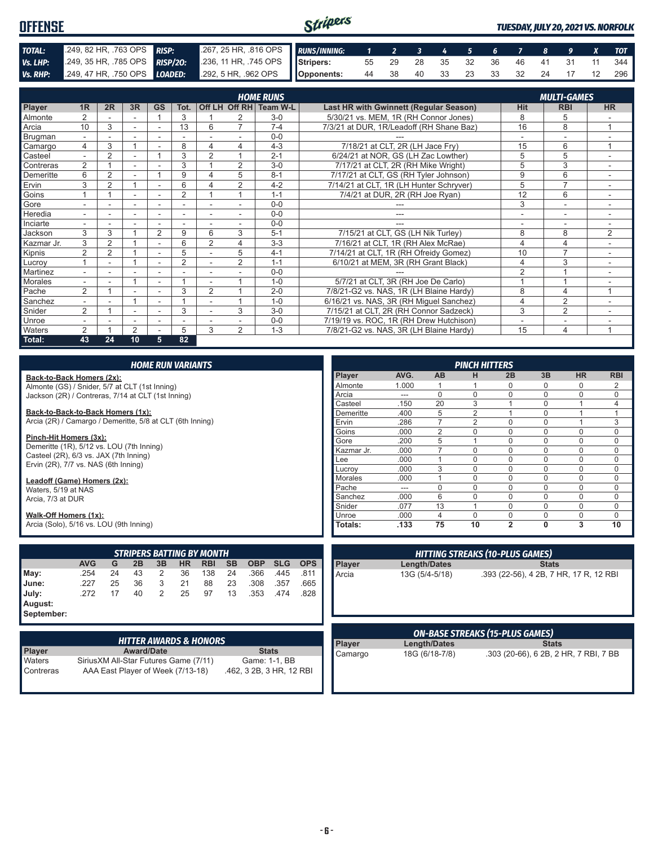#### Stripers **OFFENSE** *TUESDAY, JULY 20, 2021 VS. NORFOLK TOTAL:* .249, 82 HR, .763 OPS *RISP:* .267, 25 HR, .816 OPS *RUNS/INNING: 1 2 3 4 5 6 7 8 9 X TOT Vs. LHP:* .249, 35 HR, .785 OPS *RISP/2O:* .236, 11 HR, .745 OPS **Stripers:** 55 29 28 35 32 36 46 41 31 11 344 *Vs. RHP:* .249, 47 HR, .750 OPS *LOADED:* **Opponents:** 44 38 40 33 23 33 32 24 17 12 296

|               |                          |                |    |                |                |                |                          | <b>HOME RUNS</b>       |                                               |                          | <b>MULTI-GAMES</b>       |                          |
|---------------|--------------------------|----------------|----|----------------|----------------|----------------|--------------------------|------------------------|-----------------------------------------------|--------------------------|--------------------------|--------------------------|
| <b>Player</b> | 1 <sub>R</sub>           | 2R             | 3R | <b>GS</b>      | Tot.           |                |                          | Off LH Off RH Team W-L | <b>Last HR with Gwinnett (Regular Season)</b> | <b>Hit</b>               | <b>RBI</b>               | <b>HR</b>                |
| Almonte       | $\overline{2}$           |                |    |                | 3              |                | 2                        | $3-0$                  | 5/30/21 vs. MEM, 1R (RH Connor Jones)         | 8                        | 5                        |                          |
| Arcia         | 10                       | 3              | ÷  | ٠              | 13             | 6              | $\overline{7}$           | $7 - 4$                | 7/3/21 at DUR, 1R/Leadoff (RH Shane Baz)      | 16                       | 8                        | 1                        |
| Brugman       | $\sim$                   | ۰              | ÷  | ٠              | ٠              |                | $\overline{\phantom{a}}$ | $0-0$                  |                                               | $\overline{\phantom{a}}$ | $\overline{\phantom{a}}$ | $\overline{\phantom{a}}$ |
| Camargo       | 4                        | 3              |    |                | 8              | 4              | 4                        | $4 - 3$                | 7/18/21 at CLT, 2R (LH Jace Fry)              | 15                       | 6                        | $\overline{ }$           |
| Casteel       | $\sim$                   | 2              |    |                | 3              | $\overline{2}$ |                          | $2 - 1$                | 6/24/21 at NOR, GS (LH Zac Lowther)           | 5                        | 5                        |                          |
| Contreras     | $\overline{2}$           |                | ۰  |                | 3              |                | 2                        | $3-0$                  | 7/17/21 at CLT, 2R (RH Mike Wright)           | 5                        | 3                        |                          |
| Demeritte     | 6                        | 2              | ٠  |                | 9              | 4              | 5                        | $8 - 1$                | 7/17/21 at CLT, GS (RH Tyler Johnson)         | 9                        | 6                        | ٠.                       |
| Ervin         | 3                        | $\overline{2}$ |    |                | 6              |                | $\overline{2}$           | $4 - 2$                | 7/14/21 at CLT, 1R (LH Hunter Schryver)       | 5                        | $\overline{7}$           |                          |
| Goins         |                          |                |    |                | $\overline{2}$ |                |                          | $1 - 1$                | 7/4/21 at DUR, 2R (RH Joe Ryan)               | 12                       | 6                        |                          |
| Gore          |                          |                | ٠  |                |                |                |                          | $0-0$                  |                                               | 3                        | $\overline{\phantom{a}}$ |                          |
| Heredia       | $\overline{a}$           |                |    |                |                |                |                          | $0 - 0$                | ---                                           | ٠                        | ۰                        | ۰.                       |
| Inciarte      |                          |                | ۰  | ۰              |                |                |                          | $0 - 0$                | ---                                           | $\overline{\phantom{a}}$ | $\overline{\phantom{a}}$ |                          |
| Jackson       | 3                        | 3              |    | $\overline{2}$ | 9              | 6              | 3                        | $5 - 1$                | 7/15/21 at CLT, GS (LH Nik Turley)            | 8                        | 8                        | $\overline{2}$           |
| Kazmar Jr.    | 3                        | 2              |    | ٠              | 6              | $\overline{2}$ | 4                        | $3 - 3$                | 7/16/21 at CLT, 1R (RH Alex McRae)            | 4                        | $\overline{4}$           |                          |
| Kipnis        | $\overline{2}$           | $\overline{2}$ |    |                | 5              |                | 5                        | $4 - 1$                | 7/14/21 at CLT, 1R (RH Ofreidy Gomez)         | 10                       | $\overline{7}$           | ٠.                       |
| Lucroy        |                          |                |    | ٠              | $\overline{2}$ |                | 2                        | $1 - 1$                | 6/10/21 at MEM, 3R (RH Grant Black)           | 4                        | 3                        |                          |
| Martinez      |                          |                |    |                |                |                |                          | $0 - 0$                |                                               | $\overline{2}$           |                          |                          |
| Morales       | $\sim$                   |                |    | ٠              |                |                |                          | $1 - 0$                | 5/7/21 at CLT, 3R (RH Joe De Carlo)           |                          |                          |                          |
| Pache         | $\overline{2}$           |                |    | ٠              | 3              | $\overline{2}$ |                          | $2 - 0$                | 7/8/21-G2 vs. NAS, 1R (LH Blaine Hardy)       | 8                        | 4                        | 1                        |
| Sanchez       | $\overline{\phantom{a}}$ |                |    | ۰              |                | ٠              |                          | $1 - 0$                | 6/16/21 vs. NAS, 3R (RH Miquel Sanchez)       | 4                        | $\overline{2}$           | ٠                        |
| Snider        | $\overline{2}$           |                |    |                | 3              |                | 3                        | $3-0$                  | 7/15/21 at CLT, 2R (RH Connor Sadzeck)        | 3                        | $\overline{2}$           |                          |
| Unroe         | $\sim$                   |                | ÷. | ٠              | ٠              |                |                          | $0 - 0$                | 7/19/19 vs. ROC, 1R (RH Drew Hutchison)       | $\overline{a}$           | ٠                        |                          |
| Waters        | $\overline{2}$           |                | 2  |                | 5              | 3              | $\overline{2}$           | $1 - 3$                | 7/8/21-G2 vs. NAS, 3R (LH Blaine Hardy)       | 15                       | 4                        | 1                        |
| Total:        | 43                       | 24             | 10 | 5              | 82             |                |                          |                        |                                               |                          |                          |                          |

|                                                           | <b>HOME RUN VARIANTS</b>               |    |                                   |                |           |            |           |                          |            |            |            |                |                     | <b>PINCH HITTERS</b>                   |                |                |                                        |                |
|-----------------------------------------------------------|----------------------------------------|----|-----------------------------------|----------------|-----------|------------|-----------|--------------------------|------------|------------|------------|----------------|---------------------|----------------------------------------|----------------|----------------|----------------------------------------|----------------|
| Back-to-Back Homers (2x):                                 |                                        |    |                                   |                |           |            |           |                          |            |            | Player     | AVG.           | <b>AB</b>           | н                                      | 2B             | 3B             | <b>HR</b>                              | <b>RBI</b>     |
| Almonte (GS) / Snider, 5/7 at CLT (1st Inning)            |                                        |    |                                   |                |           |            |           |                          |            |            | Almonte    | 1.000          | $\mathbf{1}$        |                                        | $\Omega$       | 0              | $\Omega$                               | $\overline{2}$ |
| Jackson (2R) / Contreras, 7/14 at CLT (1st Inning)        |                                        |    |                                   |                |           |            |           |                          |            |            | Arcia      | $---$          | $\Omega$            | $\Omega$                               | $\Omega$       | $\Omega$       | $\Omega$                               | $\Omega$       |
|                                                           |                                        |    |                                   |                |           |            |           |                          |            |            | Casteel    | .150           | 20                  | 3                                      |                | 0              | $\mathbf{1}$                           | $\overline{4}$ |
| Back-to-Back-to-Back Homers (1x):                         |                                        |    |                                   |                |           |            |           |                          |            | Demeritte  | .400       | 5              | 2                   |                                        | $\Omega$       | $\overline{1}$ | $\mathbf{1}$                           |                |
| Arcia (2R) / Camargo / Demeritte, 5/8 at CLT (6th Inning) |                                        |    |                                   |                |           |            |           |                          |            | Ervin      | .286       | $\overline{7}$ | 2                   | $\Omega$                               | $\Omega$       | $\overline{1}$ | 3                                      |                |
| Pinch-Hit Homers (3x):                                    |                                        |    |                                   |                |           |            |           |                          |            |            | Goins      | .000           | $\overline{2}$      | $\Omega$                               | $\Omega$       | $\mathbf{0}$   | $\Omega$                               | $\mathbf 0$    |
| Demeritte (1R), 5/12 vs. LOU (7th Inning)                 |                                        |    |                                   |                |           |            |           |                          |            |            | Gore       | .200           | 5                   | $\overline{1}$                         | $\Omega$       | $\Omega$       | $\Omega$                               | $\mathbf 0$    |
| Casteel (2R), 6/3 vs. JAX (7th Inning)                    |                                        |    |                                   |                |           |            |           |                          |            |            | Kazmar Jr. | .000           | $\overline{7}$      | $\Omega$                               | $\Omega$       | $\Omega$       | $\Omega$                               | $\Omega$       |
| Ervin (2R), 7/7 vs. NAS (6th Inning)                      |                                        |    |                                   |                |           |            |           |                          |            |            | Lee        | .000           | $\mathbf{1}$        | $\Omega$                               | $\Omega$       | $\Omega$       | $\Omega$                               | $\mathbf 0$    |
|                                                           |                                        |    |                                   |                |           |            |           |                          |            |            | Lucroy     | .000           | 3                   | $\Omega$                               | $\Omega$       | $\Omega$       | $\Omega$                               | $\mathbf 0$    |
| Leadoff (Game) Homers (2x):                               |                                        |    |                                   |                |           |            |           |                          |            |            | Morales    | .000           | $\mathbf{1}$        | $\Omega$                               | $\Omega$       | $\Omega$       | $\Omega$                               | $\mathbf 0$    |
| Waters, 5/19 at NAS                                       |                                        |    |                                   |                |           |            |           |                          |            |            | Pache      | $---$          | $\Omega$            | $\Omega$                               | $\Omega$       | $\Omega$       | $\Omega$                               | $\Omega$       |
| Arcia, 7/3 at DUR                                         |                                        |    |                                   |                |           |            |           |                          |            |            | Sanchez    | .000           | 6                   | $\Omega$                               | $\Omega$       | $\Omega$       | $\Omega$                               | $\Omega$       |
|                                                           |                                        |    |                                   |                |           |            |           |                          |            |            | Snider     | .077           | 13                  | $\overline{1}$                         | $\Omega$       | $\Omega$       | $\Omega$                               | 0              |
| Walk-Off Homers (1x):                                     |                                        |    |                                   |                |           |            |           |                          |            |            | Unroe      | .000           | $\overline{4}$      | $\Omega$                               | $\Omega$       | $\Omega$       | $\Omega$                               | $\Omega$       |
| Arcia (Solo), 5/16 vs. LOU (9th Inning)                   |                                        |    |                                   |                |           |            |           |                          |            |            | Totals:    | .133           | 75                  | 10                                     | $\overline{2}$ | 0              | 3                                      | 10             |
|                                                           |                                        |    |                                   |                |           |            |           |                          |            |            |            |                |                     |                                        |                |                |                                        |                |
|                                                           |                                        |    | <b>STRIPERS BATTING BY MONTH</b>  |                |           |            |           |                          |            |            |            |                |                     | <b>HITTING STREAKS (10-PLUS GAMES)</b> |                |                |                                        |                |
|                                                           | <b>AVG</b>                             | G  | 2B                                | 3B             | <b>HR</b> | <b>RBI</b> | <b>SB</b> | <b>OBP</b>               | <b>SLG</b> | <b>OPS</b> | Player     |                | <b>Length/Dates</b> |                                        |                | <b>Stats</b>   |                                        |                |
| May:                                                      | .254                                   | 24 | 43                                | 2              | 36        | 138        | 24        | .366                     | .445       | .811       | Arcia      |                | 13G (5/4-5/18)      |                                        |                |                | .393 (22-56), 4 2B, 7 HR, 17 R, 12 RBI |                |
| June:                                                     | .227                                   | 25 | 36                                | 3              | 21        | 88         | 23        | .308                     | .357       | .665       |            |                |                     |                                        |                |                |                                        |                |
| July:                                                     | .272                                   | 17 | 40                                | $\mathfrak{D}$ | 25        | 97         | 13        | .353                     | .474       | .828       |            |                |                     |                                        |                |                |                                        |                |
| August:                                                   |                                        |    |                                   |                |           |            |           |                          |            |            |            |                |                     |                                        |                |                |                                        |                |
| September:                                                |                                        |    |                                   |                |           |            |           |                          |            |            |            |                |                     |                                        |                |                |                                        |                |
|                                                           |                                        |    |                                   |                |           |            |           |                          |            |            |            |                |                     |                                        |                |                |                                        |                |
|                                                           |                                        |    |                                   |                |           |            |           |                          |            |            |            |                |                     | <b>ON-BASE STREAKS (15-PLUS GAMES)</b> |                |                |                                        |                |
|                                                           |                                        |    | <b>HITTER AWARDS &amp; HONORS</b> |                |           |            |           |                          |            |            | Player     |                | <b>Length/Dates</b> |                                        |                | <b>Stats</b>   |                                        |                |
| <b>Player</b>                                             |                                        |    | <b>Award/Date</b>                 |                |           |            |           | <b>Stats</b>             |            |            | Camargo    |                | 18G (6/18-7/8)      |                                        |                |                | .303 (20-66), 6 2B, 2 HR, 7 RBI, 7 BB  |                |
| Waters                                                    | Sirius XM All-Star Futures Game (7/11) |    |                                   |                |           |            |           | Game: 1-1, BB            |            |            |            |                |                     |                                        |                |                |                                        |                |
| Contreras                                                 |                                        |    | AAA East Player of Week (7/13-18) |                |           |            |           | .462, 3 2B, 3 HR, 12 RBI |            |            |            |                |                     |                                        |                |                |                                        |                |
|                                                           |                                        |    |                                   |                |           |            |           |                          |            |            |            |                |                     |                                        |                |                |                                        |                |
|                                                           |                                        |    |                                   |                |           |            |           |                          |            |            |            |                |                     |                                        |                |                |                                        |                |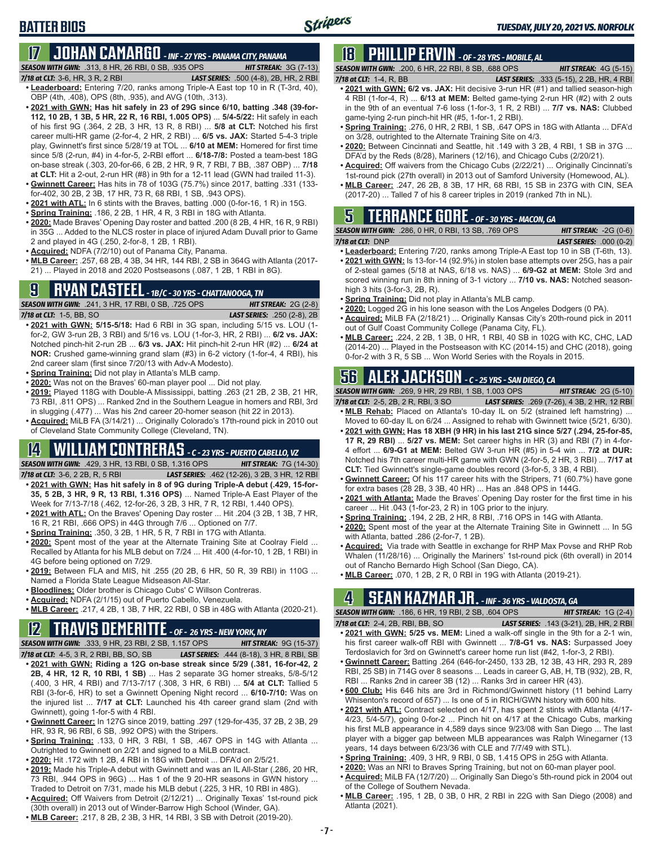## **BATTER BIOS**

#### **17 JOHAN CAMARGO** *- INF - 27 YRS - PANAMA CITY, PANAMA SEASON WITH GWN:*.313, 8 HR, 26 RBI, 0 SB, .935 OPS *HIT STREAK:* 3G (7-13)

*7/18 at CLT:* 3-6, HR, 3 R, 2 RBI *LAST SERIES:* .500 (4-8), 2B, HR, 2 RBI

- **• Leaderboard:** Entering 7/20, ranks among Triple-A East top 10 in R (T-3rd, 40), OBP (4th, .408), OPS (8th, .935), and AVG (10th, .313).
- **• 2021 with GWN: Has hit safely in 23 of 29G since 6/10, batting .348 (39-for-112, 10 2B, 1 3B, 5 HR, 22 R, 16 RBI, 1.005 OPS)** ... **5/4-5/22:** Hit safely in each of his first 9G (.364, 2 2B, 3 HR, 13 R, 8 RBI) ... **5/8 at CLT:** Notched his first career multi-HR game (2-for-4, 2 HR, 2 RBI) ... **6/5 vs. JAX:** Started 5-4-3 triple play, Gwinnett's first since 5/28/19 at TOL ... **6/10 at MEM:** Homered for first time since 5/8 (2-run, #4) in 4-for-5, 2-RBI effort ... **6/18-7/8:** Posted a team-best 18G on-base streak (.303, 20-for-66, 6 2B, 2 HR, 9 R, 7 RBI, 7 BB, .387 OBP) ... **7/18 at CLT:** Hit a 2-out, 2-run HR (#8) in 9th for a 12-11 lead (GWN had trailed 11-3).
- **• Gwinnett Career:** Has hits in 78 of 103G (75.7%) since 2017, batting .331 (133 for-402, 30 2B, 2 3B, 17 HR, 73 R, 68 RBI, 1 SB, .943 OPS).
- **• 2021 with ATL:** In 6 stints with the Braves, batting .000 (0-for-16, 1 R) in 15G.
- **• Spring Training:** .186, 2 2B, 1 HR, 4 R, 3 RBI in 18G with Atlanta.
- **• 2020:** Made Braves' Opening Day roster and batted .200 (8 2B, 4 HR, 16 R, 9 RBI) in 35G ... Added to the NLCS roster in place of injured Adam Duvall prior to Game 2 and played in 4G (.250, 2-for-8, 1 2B, 1 RBI).
- **• Acquired:** NDFA (7/2/10) out of Panama City, Panama.
- **• MLB Career:** .257, 68 2B, 4 3B, 34 HR, 144 RBI, 2 SB in 364G with Atlanta (2017- 21) ... Played in 2018 and 2020 Postseasons (.087, 1 2B, 1 RBI in 8G).

## **9 RYAN CASTEEL** *- 1B/C - 30 YRS - CHATTANOOGA, TN*

*SEASON WITH GWN:*.241, 3 HR, 17 RBI, 0 SB, .725 OPS *HIT STREAK:* 2G (2-8) *7/18 at CLT:*1-5, BB, SO *LAST SERIES:* .250 (2-8), 2B

- **• 2021 with GWN: 5/15-5/18:** Had 6 RBI in 3G span, including 5/15 vs. LOU (1 for-2, GW 3-run 2B, 3 RBI) and 5/16 vs. LOU (1-for-3, HR, 2 RBI) ... **6/2 vs. JAX:** Notched pinch-hit 2-run 2B ... **6/3 vs. JAX:** Hit pinch-hit 2-run HR (#2) ... **6/24 at NOR:** Crushed game-winning grand slam (#3) in 6-2 victory (1-for-4, 4 RBI), his 2nd career slam (first since 7/20/13 with Adv-A Modesto).
- **• Spring Training:** Did not play in Atlanta's MLB camp.
- **• 2020:** Was not on the Braves' 60-man player pool ... Did not play.
- **• 2019:** Played 118G with Double-A Mississippi, batting .263 (21 2B, 2 3B, 21 HR, 73 RBI, .811 OPS) ... Ranked 2nd in the Southern League in homers and RBI, 3rd in slugging (.477) ... Was his 2nd career 20-homer season (hit 22 in 2013).

**• Acquired:** MiLB FA (3/14/21) ... Originally Colorado's 17th-round pick in 2010 out of Cleveland State Community College (Cleveland, TN).

# **14 WILLIAM CONTRERAS** *- C - 23 YRS - PUERTO CABELLO, VZ*

*SEASON WITH GWN:*.429, 3 HR, 13 RBI, 0 SB, 1.316 OPS *HIT STREAK:* 7G (14-30)

- *7/18 at CLT:* 3-6, 2 2B, R, 5 RBI *LAST SERIES:* .462 (12-26), 3 2B, 3 HR, 12 RBI **• 2021 with GWN: Has hit safely in 8 of 9G during Triple-A debut (.429, 15-for-35, 5 2B, 3 HR, 9 R, 13 RBI, 1.316 OPS)** ... Named Triple-A East Player of the Week for 7/13-7/18 (.462, 12-for-26, 3 2B, 3 HR, 7 R, 12 RBI, 1.440 OPS).
- **• 2021 with ATL:** On the Braves' Opening Day roster ... Hit .204 (3 2B, 1 3B, 7 HR, 16 R, 21 RBI, .666 OPS) in 44G through 7/6 ... Optioned on 7/7.
- **• Spring Training:** .350, 3 2B, 1 HR, 5 R, 7 RBI in 17G with Atlanta.
- **• 2020:** Spent most of the year at the Alternate Training Site at Coolray Field ... Recalled by Atlanta for his MLB debut on 7/24 ... Hit .400 (4-for-10, 1 2B, 1 RBI) in 4G before being optioned on 7/29.
- **• 2019:** Between FLA and MIS, hit .255 (20 2B, 6 HR, 50 R, 39 RBI) in 110G ... Named a Florida State League Midseason All-Star.
- **• Bloodlines:** Older brother is Chicago Cubs' C Willson Contreras.
- **• Acquired:** NDFA (2/1/15) out of Puerto Cabello, Venezuela.
- **• MLB Career:** .217, 4 2B, 1 3B, 7 HR, 22 RBI, 0 SB in 48G with Atlanta (2020-21).

## **12 TRAVIS DEMERITTE** *- OF - 26 YRS - NEW YORK, NY*

*SEASON WITH GWN:*.333, 9 HR, 23 RBI, 2 SB, 1.157 OPS *HIT STREAK:* 9G (15-37) *7/18 at CLT:*4-5, 3 R, 2 RBI, BB, SO, SB *LAST SERIES:* .444 (8-18), 3 HR, 8 RBI, SB

- **• 2021 with GWN: Riding a 12G on-base streak since 5/29 (.381, 16-for-42, 2 2B, 4 HR, 12 R, 10 RBI, 1 SB)** ... Has 2 separate 3G homer streaks, 5/8-5/12 (.400, 3 HR, 4 RBI) and 7/13-7/17 (.308, 3 HR, 6 RBI) ... **5/4 at CLT:** Tallied 5 RBI (3-for-6, HR) to set a Gwinnett Opening Night record ... **6/10-7/10:** Was on the injured list ... **7/17 at CLT:** Launched his 4th career grand slam (2nd with Gwinnett), going 1-for-5 with 4 RBI.
- **• Gwinnett Career:** In 127G since 2019, batting .297 (129-for-435, 37 2B, 2 3B, 29 HR, 93 R, 96 RBI, 6 SB, .992 OPS) with the Stripers.
- **• Spring Training:** .133, 0 HR, 3 RBI, 1 SB, .467 OPS in 14G with Atlanta ... Outrighted to Gwinnett on 2/21 and signed to a MiLB contract.
- **• 2020:** Hit .172 with 1 2B, 4 RBI in 18G with Detroit ... DFA'd on 2/5/21.
- **• 2019:** Made his Triple-A debut with Gwinnett and was an IL All-Star (.286, 20 HR, 73 RBI, .944 OPS in 96G) ... Has 1 of the 9 20-HR seasons in GWN history ... Traded to Detroit on 7/31, made his MLB debut (.225, 3 HR, 10 RBI in 48G).
- **• Acquired:** Off Waivers from Detroit (2/12/21) ... Originally Texas' 1st-round pick (30th overall) in 2013 out of Winder-Barrow High School (Winder, GA).
- **• MLB Career:** .217, 8 2B, 2 3B, 3 HR, 14 RBI, 3 SB with Detroit (2019-20).

# **18 PHILLIP ERVIN** *- OF - 28 YRS - MOBILE, AL*

*SEASON WITH GWN:*.200, 6 HR, 22 RBI, 8 SB, .688 OPS *HIT STREAK:* 4G (5-15) *7/18 at CLT:*1-4, R, BB *LAST SERIES:* .333 (5-15), 2 2B, HR, 4 RBI

- **• 2021 with GWN: 6/2 vs. JAX:** Hit decisive 3-run HR (#1) and tallied season-high 4 RBI (1-for-4, R) ... **6/13 at MEM:** Belted game-tying 2-run HR (#2) with 2 outs in the 9th of an eventual 7-6 loss (1-for-3, 1 R, 2 RBI) ... **7/7 vs. NAS:** Clubbed game-tying 2-run pinch-hit HR (#5, 1-for-1, 2 RBI).
- **• Spring Training:** .276, 0 HR, 2 RBI, 1 SB, .647 OPS in 18G with Atlanta ... DFA'd on 3/28, outrighted to the Alternate Training Site on 4/3.
- **• 2020:** Between Cincinnati and Seattle, hit .149 with 3 2B, 4 RBI, 1 SB in 37G ... DFA'd by the Reds (8/28), Mariners (12/16), and Chicago Cubs (2/20/21).
- **• Acquired:** Off waivers from the Chicago Cubs (2/22/21) ... Originally Cincinnati's 1st-round pick (27th overall) in 2013 out of Samford University (Homewood, AL).
- **• MLB Career:** .247, 26 2B, 8 3B, 17 HR, 68 RBI, 15 SB in 237G with CIN, SEA (2017-20) ... Talled 7 of his 8 career triples in 2019 (ranked 7th in NL).

# **5 TERRANCE GORE** *- OF - 30 YRS - MACON, GA*

| <b>SEASON WITH GWN:</b> .286, 0 HR, 0 RBI, 13 SB, .769 OPS | <b>HIT STREAK: <math>-2G(0-6)</math></b> |
|------------------------------------------------------------|------------------------------------------|
| $7/18$ at CLT: $DNP$                                       | <b>LAST SERIES:</b> .000 $(0-2)$         |

- **• Leaderboard:** Entering 7/20, ranks among Triple-A East top 10 in SB (T-6th, 13). **• 2021 with GWN:** Is 13-for-14 (92.9%) in stolen base attempts over 25G, has a pair of 2-steal games (5/18 at NAS, 6/18 vs. NAS) ... **6/9-G2 at MEM:** Stole 3rd and scored winning run in 8th inning of 3-1 victory ... **7/10 vs. NAS:** Notched seasonhigh 3 hits (3-for-3, 2B, R).
- **• Spring Training:** Did not play in Atlanta's MLB camp.
- **• 2020:** Logged 2G in his lone season with the Los Angeles Dodgers (0 PA).
- **• Acquired:** MiLB FA (2/18/21) ... Originally Kansas City's 20th-round pick in 2011 out of Gulf Coast Community College (Panama City, FL).
- **• MLB Career:** .224, 2 2B, 1 3B, 0 HR, 1 RBI, 40 SB in 102G with KC, CHC, LAD (2014-20) ... Played in the Postseason with KC (2014-15) and CHC (2018), going 0-for-2 with 3 R, 5 SB ... Won World Series with the Royals in 2015.

# **56 ALEX JACKSON** *- C - 25 YRS - SAN DIEGO, CA*

*SEASON WITH GWN:*.269, 9 HR, 29 RBI, 1 SB, 1.003 OPS *HIT STREAK:* 2G (5-10) *7/18 at CLT:*2-5, 2B, 2 R, RBI, 3 SO *LAST SERIES:* .269 (7-26), 4 3B, 2 HR, 12 RBI

- **• MLB Rehab:** Placed on Atlanta's 10-day IL on 5/2 (strained left hamstring) ...
- Moved to 60-day IL on 6/24 ... Assigned to rehab with Gwinnett twice (5/21, 6/30). **• 2021 with GWN: Has 18 XBH (9 HR) in his last 21G since 5/27 (.294, 25-for-85, 17 R, 29 RBI)** ... **5/27 vs. MEM:** Set career highs in HR (3) and RBI (7) in 4-for-4 effort ... **6/9-G1 at MEM:** Belted GW 3-run HR (#5) in 5-4 win ... **7/2 at DUR:** Notched his 7th career multi-HR game with GWN (2-for-5, 2 HR, 3 RBI) ... **7/17 at CLT:** Tied Gwinnett's single-game doubles record (3-for-5, 3 3B, 4 RBI).
- **• Gwinnett Career:** Of his 117 career hits with the Stripers, 71 (60.7%) have gone for extra bases (28 2B, 3 3B, 40 HR) ... Has an .848 OPS in 144G.
- **• 2021 with Atlanta:** Made the Braves' Opening Day roster for the first time in his career ... Hit .043 (1-for-23, 2 R) in 10G prior to the injury.
- **• Spring Training:** .194, 2 2B, 2 HR, 8 RBI, .716 OPS in 14G with Atlanta.
- **• 2020:** Spent most of the year at the Alternate Training Site in Gwinnett ... In 5G with Atlanta, batted .286 (2-for-7, 1 2B).
- **• Acquired:** Via trade with Seattle in exchange for RHP Max Povse and RHP Rob Whalen (11/28/16) ... Originally the Mariners' 1st-round pick (6th overall) in 2014 out of Rancho Bernardo High School (San Diego, CA).
- **• MLB Career:** .070, 1 2B, 2 R, 0 RBI in 19G with Atlanta (2019-21).

# **4 SEAN KAZMAR JR.** *- INF - 36 YRS - VALDOSTA, GA*

*SEASON WITH GWN:*.186, 6 HR, 19 RBI, 2 SB, .604 OPS *HIT STREAK:* 1G (2-4)

- *7/18 at CLT:*2-4, 2B, RBI, BB, SO *LAST SERIES:* .143 (3-21), 2B, HR, 2 RBI **• 2021 with GWN: 5/25 vs. MEM:** Lined a walk-off single in the 9th for a 2-1 win, his first career walk-off RBI with Gwinnett ... **7/8-G1 vs. NAS:** Surpassed Joey Terdoslavich for 3rd on Gwinnett's career home run list (#42, 1-for-3, 2 RBI).
- **• Gwinnett Career:** Batting .264 (646-for-2450, 133 2B, 12 3B, 43 HR, 293 R, 289 RBI, 25 SB) in 714G over 8 seasons ... Leads in career G, AB, H, TB (932), 2B, R, RBI ... Ranks 2nd in career 3B (12) ... Ranks 3rd in career HR (43).
- **• 600 Club:** His 646 hits are 3rd in Richmond/Gwinnett history (11 behind Larry Whisenton's record of 657) ... Is one of 5 in RICH/GWN history with 600 hits.
- **• 2021 with ATL:** Contract selected on 4/17, has spent 2 stints with Atlanta (4/17- 4/23, 5/4-5/7), going 0-for-2 ... Pinch hit on 4/17 at the Chicago Cubs, marking his first MLB appearance in 4,589 days since 9/23/08 with San Diego ... The last player with a bigger gap between MLB appearances was Ralph Winegarner (13 years, 14 days between 6/23/36 with CLE and 7/7/49 with STL).
- **• Spring Training:** .409, 3 HR, 9 RBI, 0 SB, 1.415 OPS in 25G with Atlanta.
- **• 2020:** Was an NRI to Braves Spring Training, but not on 60-man player pool.
- **• Acquired:** MiLB FA (12/7/20) ... Originally San Diego's 5th-round pick in 2004 out of the College of Southern Nevada.
- **• MLB Career:** .195, 1 2B, 0 3B, 0 HR, 2 RBI in 22G with San Diego (2008) and Atlanta (2021).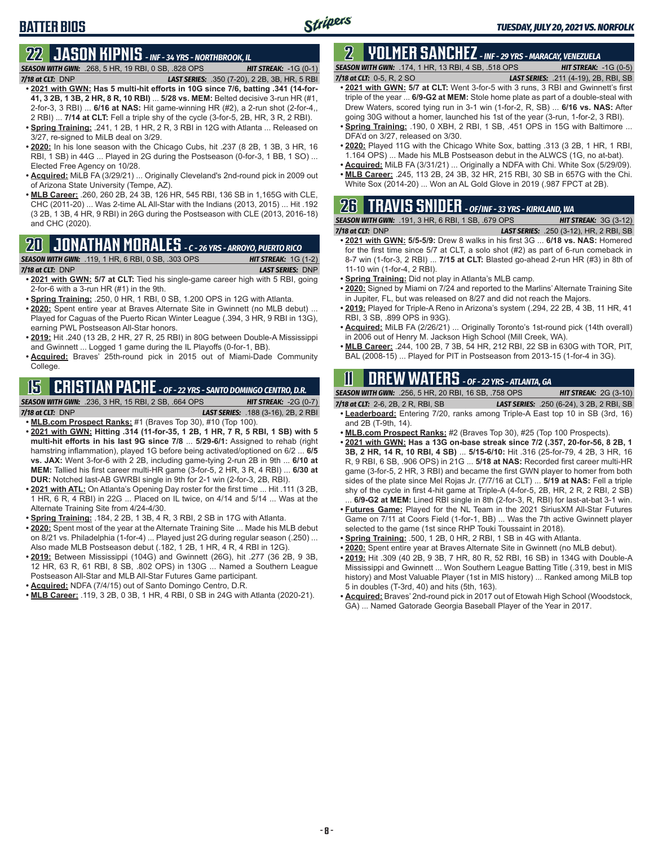## **BATTER BIOS**

# **22 JASON KIPNIS** *- INF - 34 YRS - NORTHBROOK, IL*

*SEASON WITH GWN:*.268, 5 HR, 19 RBI, 0 SB, .828 OPS *HIT STREAK:* -1G (0-1) *7/18 at CLT:*DNP *LAST SERIES:* .350 (7-20), 2 2B, 3B, HR, 5 RBI

- **• 2021 with GWN: Has 5 multi-hit efforts in 10G since 7/6, batting .341 (14-for-41, 3 2B, 1 3B, 2 HR, 8 R, 10 RBI)** ... **5/28 vs. MEM:** Belted decisive 3-run HR (#1, 2-for-3, 3 RBI) ... **6/16 at NAS:** Hit game-winning HR (#2), a 2-run shot (2-for-4,, 2 RBI) ... **7/14 at CLT:** Fell a triple shy of the cycle (3-for-5, 2B, HR, 3 R, 2 RBI).
- **• Spring Training:** .241, 1 2B, 1 HR, 2 R, 3 RBI in 12G with Atlanta ... Released on 3/27, re-signed to MiLB deal on 3/29.
- **• 2020:** In his lone season with the Chicago Cubs, hit .237 (8 2B, 1 3B, 3 HR, 16 RBI, 1 SB) in 44G ... Played in 2G during the Postseason (0-for-3, 1 BB, 1 SO) ... Elected Free Agency on 10/28.
- **• Acquired:** MiLB FA (3/29/21) ... Originally Cleveland's 2nd-round pick in 2009 out of Arizona State University (Tempe, AZ).
- **• MLB Career:** .260, 260 2B, 24 3B, 126 HR, 545 RBI, 136 SB in 1,165G with CLE, CHC (2011-20) ... Was 2-time AL All-Star with the Indians (2013, 2015) ... Hit .192 (3 2B, 1 3B, 4 HR, 9 RBI) in 26G during the Postseason with CLE (2013, 2016-18) and CHC (2020).

## **20 JONATHAN MORALES** *- C - 26 YRS - ARROYO, PUERTO RICO*

*SEASON WITH GWN:*.119, 1 HR, 6 RBI, 0 SB, .303 OPS *HIT STREAK:* 1G (1-2)

- *7/18 at CLT:*DNP *LAST SERIES:* DNP **• 2021 with GWN: 5/7 at CLT:** Tied his single-game career high with 5 RBI, going 2-for-6 with a 3-run HR (#1) in the 9th.
- **• Spring Training:** .250, 0 HR, 1 RBI, 0 SB, 1.200 OPS in 12G with Atlanta.
- **• 2020:** Spent entire year at Braves Alternate Site in Gwinnett (no MLB debut) ... Played for Caguas of the Puerto Rican Winter League (.394, 3 HR, 9 RBI in 13G), earning PWL Postseason All-Star honors.
- **• 2019:** Hit .240 (13 2B, 2 HR, 27 R, 25 RBI) in 80G between Double-A Mississippi and Gwinnett ... Logged 1 game during the IL Playoffs (0-for-1, BB).
- **• Acquired:** Braves' 25th-round pick in 2015 out of Miami-Dade Community College.

## **15 CRISTIAN PACHE** *- OF - 22 YRS - SANTO DOMINGO CENTRO, D.R.*

*SEASON WITH GWN:*.236, 3 HR, 15 RBI, 2 SB, .664 OPS *HIT STREAK:* -2G (0-7)

*7/18 at CLT:* DNP *LAST SERIES:* .188 (3-16), 2B, 2 RBI

- **• MLB.com Prospect Ranks:** #1 (Braves Top 30), #10 (Top 100).
- **• 2021 with GWN: Hitting .314 (11-for-35, 1 2B, 1 HR, 7 R, 5 RBI, 1 SB) with 5 multi-hit efforts in his last 9G since 7/8** ... **5/29-6/1:** Assigned to rehab (right hamstring inflammation), played 1G before being activated/optioned on 6/2 ... **6/5 vs. JAX:** Went 3-for-6 with 2 2B, including game-tying 2-run 2B in 9th ... **6/10 at MEM:** Tallied his first career multi-HR game (3-for-5, 2 HR, 3 R, 4 RBI) ... **6/30 at DUR:** Notched last-AB GWRBI single in 9th for 2-1 win (2-for-3, 2B, RBI).
- **• 2021 with ATL:** On Atlanta's Opening Day roster for the first time ... Hit .111 (3 2B, 1 HR, 6 R, 4 RBI) in 22G ... Placed on IL twice, on 4/14 and 5/14 ... Was at the Alternate Training Site from 4/24-4/30.
- **• Spring Training:** .184, 2 2B, 1 3B, 4 R, 3 RBI, 2 SB in 17G with Atlanta.
- **• 2020:** Spent most of the year at the Alternate Training Site ... Made his MLB debut on 8/21 vs. Philadelphia (1-for-4) ... Played just 2G during regular season (.250) ... Also made MLB Postseason debut (.182, 1 2B, 1 HR, 4 R, 4 RBI in 12G).
- **• 2019:** Between Mississippi (104G) and Gwinnett (26G), hit .277 (36 2B, 9 3B, 12 HR, 63 R, 61 RBI, 8 SB, .802 OPS) in 130G ... Named a Southern League Postseason All-Star and MLB All-Star Futures Game participant.
- **• Acquired:** NDFA (7/4/15) out of Santo Domingo Centro, D.R.
- **• MLB Career:** .119, 3 2B, 0 3B, 1 HR, 4 RBI, 0 SB in 24G with Atlanta (2020-21).

#### **2 YOLMER SANCHEZ** *- INF - 29 YRS - MARACAY, VENEZUELA SEASON WITH GWN:*.174, 1 HR, 13 RBI, 4 SB, .518 OPS *HIT STREAK:* -1G (0-5)

- *7/18 at CLT:*0-5, R, 2 SO *LAST SERIES:* .211 (4-19), 2B, RBI, SB **• 2021 with GWN: 5/7 at CLT:** Went 3-for-5 with 3 runs, 3 RBI and Gwinnett's first triple of the year ... **6/9-G2 at MEM:** Stole home plate as part of a double-steal with Drew Waters, scored tying run in 3-1 win (1-for-2, R, SB) ... **6/16 vs. NAS:** After
- going 30G without a homer, launched his 1st of the year (3-run, 1-for-2, 3 RBI). **• Spring Training:** .190, 0 XBH, 2 RBI, 1 SB, .451 OPS in 15G with Baltimore ... DFA'd on 3/27, released on 3/30.
- **• 2020:** Played 11G with the Chicago White Sox, batting .313 (3 2B, 1 HR, 1 RBI, 1.164 OPS) ... Made his MLB Postseason debut in the ALWCS (1G, no at-bat).
- **• Acquired:** MiLB FA (3/31/21) ... Originally a NDFA with Chi. White Sox (5/29/09).
- **• MLB Career:** .245, 113 2B, 24 3B, 32 HR, 215 RBI, 30 SB in 657G with the Chi. White Sox (2014-20) ... Won an AL Gold Glove in 2019 (.987 FPCT at 2B).

### **26 TRAVIS SNIDER** *- OF/INF - 33 YRS - KIRKLAND, WA SEASON WITH GWN:*.191, 3 HR, 6 RBI, 1 SB, .679 OPS *HIT STREAK:* 3G (3-12)

*7/18 at CLT:* DNP *LAST SERIES:* .250 (3-12), HR, 2 RBI, SB

- **• 2021 with GWN: 5/5-5/9:** Drew 8 walks in his first 3G ... **6/18 vs. NAS:** Homered for the first time since 5/7 at CLT, a solo shot (#2) as part of 6-run comeback in 8-7 win (1-for-3, 2 RBI) ... **7/15 at CLT:** Blasted go-ahead 2-run HR (#3) in 8th of 11-10 win (1-for-4, 2 RBI).
- **• Spring Training:** Did not play in Atlanta's MLB camp.
- **• 2020:** Signed by Miami on 7/24 and reported to the Marlins' Alternate Training Site in Jupiter, FL, but was released on 8/27 and did not reach the Majors.
- **• 2019:** Played for Triple-A Reno in Arizona's system (.294, 22 2B, 4 3B, 11 HR, 41 RBI, 3 SB, .899 OPS in 93G).
- **• Acquired:** MiLB FA (2/26/21) ... Originally Toronto's 1st-round pick (14th overall) in 2006 out of Henry M. Jackson High School (Mill Creek, WA).
- **• MLB Career:** .244, 100 2B, 7 3B, 54 HR, 212 RBI, 22 SB in 630G with TOR, PIT, BAL (2008-15) ... Played for PIT in Postseason from 2013-15 (1-for-4 in 3G).

## **11 Drew WATERS** *- OF - 22 YRS - ATLANTA, GA*

| <b>SEASON WITH GWN:</b> .256, 5 HR, 20 RBI, 16 SB, .758 OPS | <b>HIT STREAK:</b> $2G(3-10)$                                                  |
|-------------------------------------------------------------|--------------------------------------------------------------------------------|
| 7/18 at CLT: 2-6, 2B, 2 R, RBI, SB                          | <b>LAST SERIES:</b> .250 (6-24), 3 2B, 2 RBI, SB                               |
|                                                             | • Leaderboard: Entering 7/20, ranks among Triple-A East top 10 in SB (3rd, 16) |
| and $2B(T-9th. 14)$ .                                       |                                                                                |

- **• MLB.com Prospect Ranks:** #2 (Braves Top 30), #25 (Top 100 Prospects).
- **• 2021 with GWN: Has a 13G on-base streak since 7/2 (.357, 20-for-56, 8 2B, 1 3B, 2 HR, 14 R, 10 RBI, 4 SB)** ... **5/15-6/10:** Hit .316 (25-for-79, 4 2B, 3 HR, 16 R, 9 RBI, 6 SB, .906 OPS) in 21G ... **5/18 at NAS:** Recorded first career multi-HR game (3-for-5, 2 HR, 3 RBI) and became the first GWN player to homer from both sides of the plate since Mel Rojas Jr. (7/7/16 at CLT) ... **5/19 at NAS:** Fell a triple shy of the cycle in first 4-hit game at Triple-A (4-for-5, 2B, HR, 2 R, 2 RBI, 2 SB)
- ... **6/9-G2 at MEM:** Lined RBI single in 8th (2-for-3, R, RBI) for last-at-bat 3-1 win. **• Futures Game:** Played for the NL Team in the 2021 SiriusXM All-Star Futures Game on 7/11 at Coors Field (1-for-1, BB) ... Was the 7th active Gwinnett player selected to the game (1st since RHP Touki Toussaint in 2018).
- **• Spring Training:** .500, 1 2B, 0 HR, 2 RBI, 1 SB in 4G with Atlanta.
- **• 2020:** Spent entire year at Braves Alternate Site in Gwinnett (no MLB debut).
- **• 2019:** Hit .309 (40 2B, 9 3B, 7 HR, 80 R, 52 RBI, 16 SB) in 134G with Double-A Mississippi and Gwinnett ... Won Southern League Batting Title (.319, best in MIS history) and Most Valuable Player (1st in MIS history) ... Ranked among MiLB top 5 in doubles (T-3rd, 40) and hits (5th, 163).
- **• Acquired:** Braves' 2nd-round pick in 2017 out of Etowah High School (Woodstock, GA) ... Named Gatorade Georgia Baseball Player of the Year in 2017.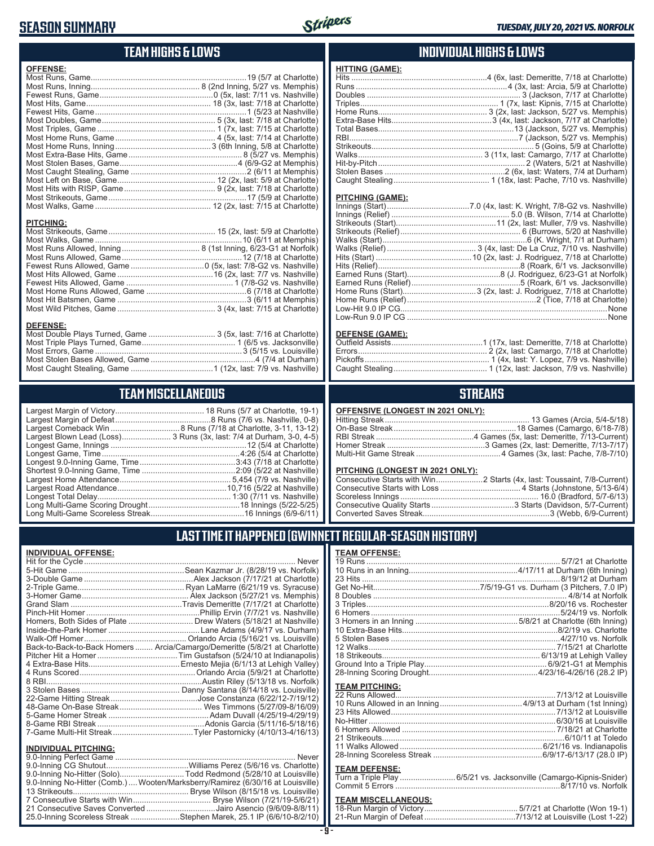## **SEASON SUMMARY**



## **TEAM HIGHS & LOWS**

| <b>OFFENSE:</b>  |  |
|------------------|--|
|                  |  |
|                  |  |
|                  |  |
|                  |  |
|                  |  |
|                  |  |
|                  |  |
|                  |  |
|                  |  |
|                  |  |
|                  |  |
|                  |  |
|                  |  |
|                  |  |
|                  |  |
| <b>PITCHING:</b> |  |
|                  |  |
|                  |  |
|                  |  |
|                  |  |
|                  |  |
|                  |  |
|                  |  |
|                  |  |
|                  |  |
|                  |  |

#### **DEFENSE:**

| Most Double Plays Turned, Game  3 (5x, last: 7/16 at Charlotte) |  |
|-----------------------------------------------------------------|--|
|                                                                 |  |
|                                                                 |  |
|                                                                 |  |
|                                                                 |  |

## **TEAM MISCELLANEOUS**

| Largest Blown Lead (Loss) 3 Runs (3x, last: 7/4 at Durham, 3-0, 4-5) |
|----------------------------------------------------------------------|
|                                                                      |
|                                                                      |
|                                                                      |
|                                                                      |
|                                                                      |
|                                                                      |
|                                                                      |
|                                                                      |
|                                                                      |

### **INDIVIDUAL HIGHS & LOWS**

| <b>HITTING (GAME):</b> |  |
|------------------------|--|
|                        |  |
|                        |  |
|                        |  |
|                        |  |
|                        |  |
|                        |  |
|                        |  |
|                        |  |
|                        |  |
|                        |  |
|                        |  |
|                        |  |
|                        |  |
|                        |  |

#### **PITCHING (GAME):**

#### **DEFENSE (GAME):**

### **STREAKS**

#### **OFFENSIVE (LONGEST IN 2021 ONLY):**

#### **PITCHING (LONGEST IN 2021 ONLY):**

## **LAST TIME IT HAPPENED (GWINNETT REGULAR-SEASON HISTORY)**

#### **INDIVIDUAL OFFENSE:**

|                             | Homers, Both Sides of Plate  Drew Waters (5/18/21 at Nashville)            |
|-----------------------------|----------------------------------------------------------------------------|
|                             |                                                                            |
|                             |                                                                            |
|                             | Back-to-Back-to-Back Homers  Arcia/Camargo/Demeritte (5/8/21 at Charlotte) |
|                             |                                                                            |
|                             |                                                                            |
|                             |                                                                            |
|                             |                                                                            |
|                             |                                                                            |
|                             |                                                                            |
|                             |                                                                            |
|                             |                                                                            |
|                             |                                                                            |
|                             |                                                                            |
| <b>INDIVIDUAL PITCHING:</b> |                                                                            |
| 9 0-Inning Perfect Game     | Never                                                                      |
|                             |                                                                            |

| 9.0-Inning No-Hitter (Solo)Todd Redmond (5/28/10 at Louisville)                |  |
|--------------------------------------------------------------------------------|--|
| 9.0-Inning No-Hitter (Comb.) Wooten/Marksberry/Ramirez (6/30/16 at Louisville) |  |
|                                                                                |  |
|                                                                                |  |
| 21 Consecutive Saves Converted Jairo Asencio (9/6/09-8/8/11)                   |  |
| 25.0-Inning Scoreless Streak Stephen Marek, 25.1 IP (6/6/10-8/2/10)            |  |
|                                                                                |  |

#### **TEAM OFFENSE:**

| <b>TEAM PITCHING:</b> |                                                                    |
|-----------------------|--------------------------------------------------------------------|
|                       |                                                                    |
|                       |                                                                    |
|                       |                                                                    |
|                       |                                                                    |
|                       |                                                                    |
|                       |                                                                    |
|                       |                                                                    |
|                       |                                                                    |
| <b>TEAM DEFENSE:</b>  |                                                                    |
|                       | Turn a Triple Play 6/5/21 vs. Jacksonville (Camargo-Kipnis-Snider) |
|                       |                                                                    |
|                       |                                                                    |

# **TEAM MISCELLANEOUS:**<br>18-Run Margin of Victory.....